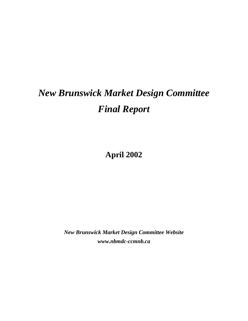# *New Brunswick Market Design Committee Final Report*

**April 2002**

*New Brunswick Market Design Committee Website www.nbmdc-ccmnb.ca*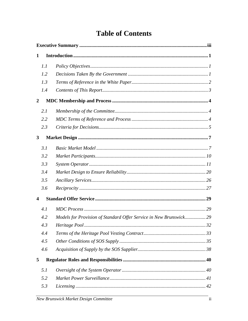| 1                       |     |                                                                    |  |  |  |  |
|-------------------------|-----|--------------------------------------------------------------------|--|--|--|--|
|                         | 1.1 |                                                                    |  |  |  |  |
|                         | 1.2 |                                                                    |  |  |  |  |
|                         | 1.3 |                                                                    |  |  |  |  |
|                         | 1.4 |                                                                    |  |  |  |  |
| $\boldsymbol{2}$        |     |                                                                    |  |  |  |  |
|                         | 2.1 |                                                                    |  |  |  |  |
|                         | 2.2 |                                                                    |  |  |  |  |
|                         | 2.3 |                                                                    |  |  |  |  |
| $\mathbf{3}$            |     |                                                                    |  |  |  |  |
|                         | 3.1 |                                                                    |  |  |  |  |
|                         | 3.2 |                                                                    |  |  |  |  |
|                         | 3.3 |                                                                    |  |  |  |  |
|                         | 3.4 |                                                                    |  |  |  |  |
|                         | 3.5 |                                                                    |  |  |  |  |
|                         | 3.6 |                                                                    |  |  |  |  |
| $\overline{\mathbf{4}}$ |     |                                                                    |  |  |  |  |
|                         | 4.1 |                                                                    |  |  |  |  |
|                         | 4.2 | Models for Provision of Standard Offer Service in New Brunswick 29 |  |  |  |  |
|                         | 4.3 |                                                                    |  |  |  |  |
|                         | 4.4 |                                                                    |  |  |  |  |
|                         | 4.5 |                                                                    |  |  |  |  |
|                         | 4.6 |                                                                    |  |  |  |  |
| 5                       |     |                                                                    |  |  |  |  |
|                         | 5.1 |                                                                    |  |  |  |  |
|                         | 5.2 |                                                                    |  |  |  |  |
|                         | 5.3 |                                                                    |  |  |  |  |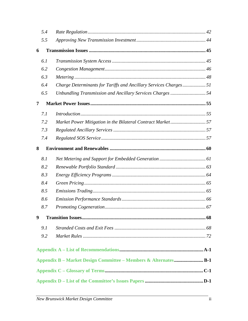|   | 5.4 |                                                                  |  |
|---|-----|------------------------------------------------------------------|--|
|   | 5.5 |                                                                  |  |
| 6 |     |                                                                  |  |
|   | 6.1 |                                                                  |  |
|   | 6.2 |                                                                  |  |
|   | 6.3 |                                                                  |  |
|   | 6.4 | Charge Determinants for Tariffs and Ancillary Services Charges51 |  |
|   | 6.5 | Unbundling Transmission and Ancillary Services Charges 54        |  |
| 7 |     |                                                                  |  |
|   | 7.1 |                                                                  |  |
|   | 7.2 | Market Power Mitigation in the Bilateral Contract Market57       |  |
|   | 7.3 |                                                                  |  |
|   | 7.4 |                                                                  |  |
| 8 |     |                                                                  |  |
|   | 8.1 |                                                                  |  |
|   | 8.2 |                                                                  |  |
|   | 8.3 |                                                                  |  |
|   | 8.4 |                                                                  |  |
|   | 8.5 |                                                                  |  |
|   | 8.6 |                                                                  |  |
|   | 8.7 |                                                                  |  |
| 9 |     |                                                                  |  |
|   | 9.1 |                                                                  |  |
|   | 9.2 |                                                                  |  |
|   |     |                                                                  |  |
|   |     | Appendix B - Market Design Committee - Members & AlternatesB-1   |  |
|   |     |                                                                  |  |
|   |     |                                                                  |  |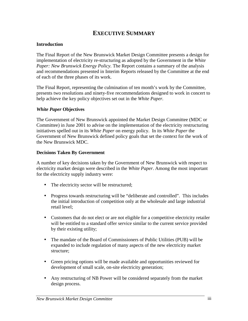# **EXECUTIVE SUMMARY**

# **Introduction**

The Final Report of the New Brunswick Market Design Committee presents a design for implementation of electricity re-structuring as adopted by the Government in the *White Paper: New Brunswick Energy Policy*. The Report contains a summary of the analysis and recommendations presented in Interim Reports released by the Committee at the end of each of the three phases of its work.

The Final Report, representing the culmination of ten month's work by the Committee, presents two resolutions and ninety-five recommendations designed to work in concert to help achieve the key policy objectives set out in the *White Paper.*

## *White Paper* **Objectives**

The Government of New Brunswick appointed the Market Design Committee (MDC or Committee) in June 2001 to advise on the implementation of the electricity restructuring initiatives spelled out in its *White Paper* on energy policy. In its *White Paper* the Government of New Brunswick defined policy goals that set the context for the work of the New Brunswick MDC.

## **Decisions Taken By Government**

A number of key decisions taken by the Government of New Brunswick with respect to electricity market design were described in the *White Paper*. Among the most important for the electricity supply industry were:

- The electricity sector will be restructured;
- Progress towards restructuring will be "deliberate and controlled". This includes the initial introduction of competition only at the wholesale and large industrial retail level;
- Customers that do not elect or are not eligible for a competitive electricity retailer will be entitled to a standard offer service similar to the current service provided by their existing utility;
- The mandate of the Board of Commissioners of Public Utilities (PUB) will be expanded to include regulation of many aspects of the new electricity market structure;
- Green pricing options will be made available and opportunities reviewed for development of small scale, on-site electricity generation;
- Any restructuring of NB Power will be considered separately from the market design process.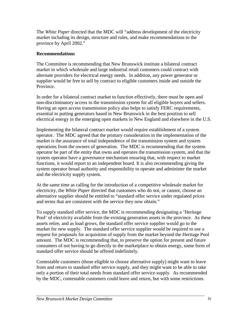The *White Paper* directed that the MDC will "address development of the electricity market including its design, structure and rules, and make recommendations to the province by April 2002."

# **Recommendations**

The Committee is recommending that New Brunswick institute a bilateral contract market in which wholesale and large industrial retail customers could contract with alternate providers for electrical energy needs. In addition, any power generator or supplier would be free to sell by contract to eligible customers inside and outside the Province.

In order for a bilateral contract market to function effectively, there must be open and non-discriminatory access to the transmission system for all eligible buyers and sellers. Having an open access transmission policy also helps to satisfy FERC requirements, essential to putting generators based in New Brunswick in the best position to sell electrical energy in the emerging open markets in New England and elsewhere in the U.S.

Implementing the bilateral contract market would require establishment of a system operator. The MDC agreed that the primary consideration in the implementation of the market is the assurance of total independence of the transmission system and system operations from the owners of generation. The MDC is recommending that the system operator be part of the entity that owns and operates the transmission system, and that the system operator have a governance mechanism ensuring that, with respect to market functions, it would report to an independent board. It is also recommending giving the system operator broad authority and responsibility to operate and administer the market and the electricity supply system.

At the same time as calling for the introduction of a competitive wholesale market for electricity, the *White Paper* directed that customers who do not, or cannot, choose an alternative supplier should be entitled to "standard offer service under regulated prices and terms that are consistent with the service they now obtain."

To supply standard offer service, the MDC is recommending designating a 'Heritage Pool' of electricity available from the existing generation assets in the province. As these assets retire, and as load grows, the standard offer service supplier would go to the market for new supply. The standard offer service supplier would be required to use a request for proposals for acquisition of supply from the market beyond the Heritage Pool amount. The MDC is recommending that, to preserve the option for present and future consumers of not having to go directly to the marketplace to obtain energy, some form of standard offer service should be offered indefinitely.

Contestable customers (those eligible to choose alternative supply) might want to leave from and return to standard offer service supply, and they might want to be able to take only a portion of their total needs from standard offer service supply. As recommended by the MDC, contestable customers could leave and return, but with some restrictions.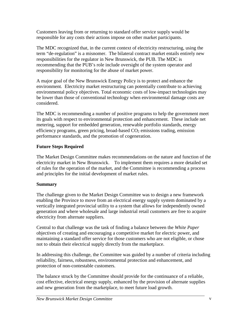Customers leaving from or returning to standard offer service supply would be responsible for any costs their actions impose on other market participants.

The MDC recognized that, in the current context of electricity restructuring, using the term "de-regulation" is a misnomer. The bilateral contract market entails entirely new responsibilities for the regulator in New Brunswick, the PUB. The MDC is recommending that the PUB's role include oversight of the system operator and responsibility for monitoring for the abuse of market power.

A major goal of the New Brunswick Energy Policy is to protect and enhance the environment*.* Electricity market restructuring can potentially contribute to achieving environmental policy objectives. Total economic costs of low-impact technologies may be lower than those of conventional technology when environmental damage costs are considered.

The MDC is recommending a number of positive programs to help the government meet its goals with respect to environmental protection and enhancement. These include net metering, support for embedded generation, renewable portfolio standards, energy efficiency programs, green pricing, broad-based  $CO<sub>2</sub>$  emissions trading, emission performance standards, and the promotion of cogeneration.

# **Future Steps Required**

The Market Design Committee makes recommendations on the nature and function of the electricity market in New Brunswick. To implement them requires a more detailed set of rules for the operation of the market, and the Committee is recommending a process and principles for the initial development of market rules.

# **Summary**

The challenge given to the Market Design Committee was to design a new framework enabling the Province to move from an electrical energy supply system dominated by a vertically integrated provincial utility to a system that allows for independently owned generation and where wholesale and large industrial retail customers are free to acquire electricity from alternate suppliers.

Central to that challenge was the task of finding a balance between the *White Paper* objectives of creating and encouraging a competitive market for electric power, and maintaining a standard offer service for those customers who are not eligible, or chose not to obtain their electrical supply directly from the marketplace.

In addressing this challenge, the Committee was guided by a number of criteria including reliability, fairness, robustness, environmental protection and enhancement, and protection of non-contestable customers.

The balance struck by the Committee should provide for the continuance of a reliable, cost effective, electrical energy supply, enhanced by the provision of alternate supplies and new generation from the marketplace, to meet future load growth.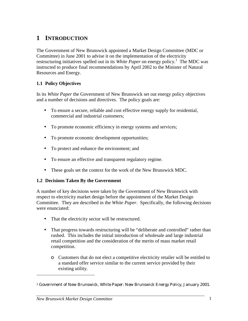# **1 INTRODUCTION**

The Government of New Brunswick appointed a Market Design Committee (MDC or Committee) in June 2001 to advise it on the implementation of the electricity restructuring initiatives spelled out in its *White Paper* on energy policy.<sup>1</sup> The MDC was instructed to produce final recommendations by April 2002 to the Minister of Natural Resources and Energy.

# **1.1 Policy Objectives**

In its *White Paper* the Government of New Brunswick set out energy policy objectives and a number of decisions and directives. The policy goals are:

- To ensure a secure, reliable and cost effective energy supply for residential, commercial and industrial customers;
- To promote economic efficiency in energy systems and services;
- To promote economic development opportunities;
- To protect and enhance the environment; and
- To ensure an effective and transparent regulatory regime.
- These goals set the context for the work of the New Brunswick MDC.

## **1.2 Decisions Taken By the Government**

A number of key decisions were taken by the Government of New Brunswick with respect to electricity market design before the appointment of the Market Design Committee. They are described in the *White Paper*. Specifically, the following decisions were enunciated:

- That the electricity sector will be restructured.
- That progress towards restructuring will be "deliberate and controlled" rather than rushed. This includes the initial introduction of wholesale and large industrial retail competition and the consideration of the merits of mass market retail competition.
	- ο Customers that do not elect a competitive electricity retailer will be entitled to a standard offer service similar to the current service provided by their existing utility.

<sup>1</sup> Government of New Brunswick, *White Paper: New Brunswick Energy Policy*, January 2001.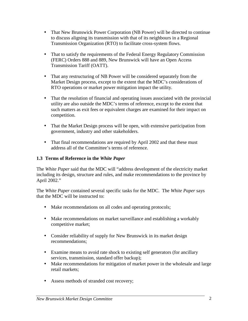- That New Brunswick Power Corporation (NB Power) will be directed to continue to discuss aligning its transmission with that of its neighbours in a Regional Transmission Organization (RTO) to facilitate cross-system flows.
- That to satisfy the requirements of the Federal Energy Regulatory Commission (FERC) Orders 888 and 889, New Brunswick will have an Open Access Transmission Tariff (OATT).
- That any restructuring of NB Power will be considered separately from the Market Design process, except to the extent that the MDC's considerations of RTO operations or market power mitigation impact the utility.
- That the resolution of financial and operating issues associated with the provincial utility are also outside the MDC's terms of reference, except to the extent that such matters as exit fees or equivalent charges are examined for their impact on competition.
- That the Market Design process will be open, with extensive participation from government, industry and other stakeholders.
- That final recommendations are required by April 2002 and that these must address all of the Committee's terms of reference.

# **1.3 Terms of Reference in the** *White Paper*

The *White Paper* said that the MDC will "address development of the electricity market including its design, structure and rules, and make recommendations to the province by April 2002."

The *White Paper* contained several specific tasks for the MDC. The *White Paper* says that the MDC will be instructed to:

- Make recommendations on all codes and operating protocols;
- Make recommendations on market surveillance and establishing a workably competitive market;
- Consider reliability of supply for New Brunswick in its market design recommendations;
- Examine means to avoid rate shock to existing self generators (for ancillary services, transmission, standard offer backup);
- Make recommendations for mitigation of market power in the wholesale and large retail markets;
- Assess methods of stranded cost recovery;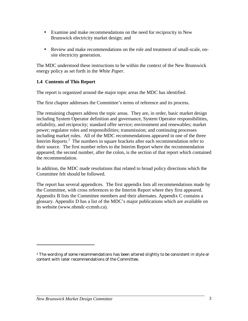- Examine and make recommendations on the need for reciprocity in New Brunswick electricity market design; and
- Review and make recommendations on the role and treatment of small-scale, onsite electricity generation.

The MDC understood these instructions to be within the context of the New Brunswick energy policy as set forth in the *White Paper*.

# **1.4 Contents of This Report**

The report is organized around the major topic areas the MDC has identified.

The first chapter addresses the Committee's terms of reference and its process.

The remaining chapters address the topic areas. They are, in order, basic market design including System Operator definition and governance, System Operator responsibilities, reliability, and reciprocity; standard offer service; environment and renewables; market power; regulator roles and responsibilities; transmission; and continuing processes including market rules. All of the MDC recommendations appeared in one of the three Interim Reports.<sup>2</sup> The numbers in square brackets after each recommendation refer to their source. The first number refers to the Interim Report where the recommendation appeared; the second number, after the colon, is the section of that report which contained the recommendation.

In addition, the MDC made resolutions that related to broad policy directions which the Committee felt should be followed.

The report has several appendices. The first appendix lists all recommendations made by the Committee, with cross references to the Interim Report where they first appeared. Appendix B lists the Committee members and their alternates. Appendix C contains a glossary. Appendix D has a list of the MDC's major publications which are available on its website (www.nbmdc-ccmnb.ca).

<sup>&</sup>lt;sup>2</sup> The wording of some recommendations has been altered slightly to be consistent in style or content with later recommendations of the Committee.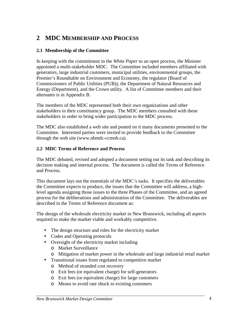# **2 MDC MEMBERSHIP AND PROCESS**

# **2.1 Membership of the Committee**

In keeping with the commitment in the *White Paper* to an open process, the Minister appointed a multi-stakeholder MDC. The Committee included members affiliated with generators, large industrial customers, municipal utilities, environmental groups, the Premier's Roundtable on Environment and Economy, the regulator (Board of Commissioners of Public Utilities (PUB)), the Department of Natural Resources and Energy (Department), and the Crown utility. A list of Committee members and their alternates is in Appendix B.

The members of the MDC represented both their own organizations and other stakeholders in their constituency group. The MDC members consulted with these stakeholders in order to bring wider participation to the MDC process.

The MDC also established a web site and posted on it many documents presented to the Committee. Interested parties were invited to provide feedback to the Committee through the web site (www.nbmdc-ccmnb.ca).

## **2.2 MDC Terms of Reference and Process**

The MDC debated, revised and adopted a document setting out its task and describing its decision making and internal process. The document is called the Terms of Reference and Process.

This document lays out the essentials of the MDC's tasks. It specifies the deliverables the Committee expects to produce, the issues that the Committee will address, a highlevel agenda assigning those issues to the three Phases of the Committee, and an agreed process for the deliberations and administration of the Committee. The deliverables are described in the Terms of Reference document as:

The design of the wholesale electricity market in New Brunswick, including all aspects required to make the market viable and workably competitive.

- The design structure and roles for the electricity market
- Codes and Operating protocols
- Oversight of the electricity market including
	- ο Market Surveillance
	- ο Mitigation of market power in the wholesale and large industrial retail market
- Transitional issues from regulated to competitive market
	- ο Method of stranded cost recovery
	- ο Exit fees (or equivalent charge) for self-generators
	- ο Exit fees (or equivalent charge) for large customers
	- ο Means to avoid rate shock to existing customers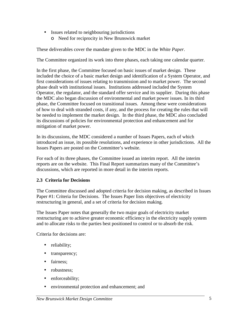- Issues related to neighbouring jurisdictions
	- ο Need for reciprocity in New Brunswick market

These deliverables cover the mandate given to the MDC in the *White Paper*.

The Committee organized its work into three phases, each taking one calendar quarter.

In the first phase, the Committee focused on basic issues of market design. These included the choice of a basic market design and identification of a System Operator, and first considerations of issues relating to transmission and to market power. The second phase dealt with institutional issues. Institutions addressed included the System Operator, the regulator, and the standard offer service and its supplier. During this phase the MDC also began discussion of environmental and market power issues. In its third phase, the Committee focused on transitional issues. Among these were considerations of how to deal with stranded costs, if any, and the process for creating the rules that will be needed to implement the market design. In the third phase, the MDC also concluded its discussions of policies for environmental protection and enhancement and for mitigation of market power.

In its discussions, the MDC considered a number of Issues Papers, each of which introduced an issue, its possible resolutions, and experience in other jurisdictions. All the Issues Papers are posted on the Committee's website.

For each of its three phases, the Committee issued an interim report. All the interim reports are on the website. This Final Report summarizes many of the Committee's discussions, which are reported in more detail in the interim reports.

## **2.3 Criteria for Decisions**

The Committee discussed and adopted criteria for decision making, as described in Issues Paper #1: Criteria for Decisions. The Issues Paper lists objectives of electricity restructuring in general, and a set of criteria for decision making.

The Issues Paper notes that generally the two major goals of electricity market restructuring are to achieve greater economic efficiency in the electricity supply system and to allocate risks to the parties best positioned to control or to absorb the risk.

Criteria for decisions are:

- reliability;
- transparency;
- fairness:
- robustness:
- enforceability;
- environmental protection and enhancement; and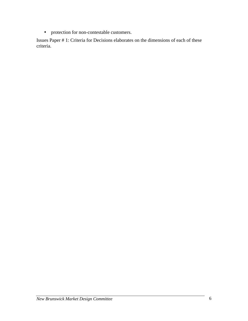• protection for non-contestable customers.

Issues Paper # 1: Criteria for Decisions elaborates on the dimensions of each of these criteria.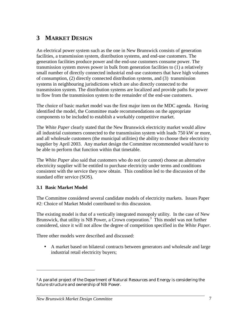# **3 MARKET DESIGN**

An electrical power system such as the one in New Brunswick consists of generation facilities, a transmission system, distribution systems, and end-use customers. The generation facilities produce power and the end-use customers consume power. The transmission system moves power in bulk from generation facilities to (1) a relatively small number of directly connected industrial end-use customers that have high volumes of consumption, (2) directly connected distribution systems, and (3) transmission systems in neighbouring jurisdictions which are also directly connected to the transmission system. The distribution systems are localized and provide paths for power to flow from the transmission system to the remainder of the end-use customers.

The choice of basic market model was the first major item on the MDC agenda. Having identified the model, the Committee made recommendations on the appropriate components to be included to establish a workably competitive market.

The *White Paper* clearly stated that the New Brunswick electricity market would allow all industrial customers connected to the transmission system with loads 750 kW or more, and all wholesale customers (the municipal utilities) the ability to choose their electricity supplier by April 2003. Any market design the Committee recommended would have to be able to perform that function within that timetable.

The *White Paper* also said that customers who do not (or cannot) choose an alternative electricity supplier will be entitled to purchase electricity under terms and conditions consistent with the service they now obtain. This condition led to the discussion of the standard offer service (SOS).

## **3.1 Basic Market Model**

l

The Committee considered several candidate models of electricity markets. Issues Paper #2: Choice of Market Model contributed to this discussion.

The existing model is that of a vertically integrated monopoly utility. In the case of New Brunswick, that utility is NB Power, a Crown corporation.<sup>3</sup> This model was not further considered, since it will not allow the degree of competition specified in the *White Paper*.

Three other models were described and discussed:

• A market based on bilateral contracts between generators and wholesale and large industrial retail electricity buyers;

<sup>&</sup>lt;sup>3</sup> A parallel project of the Department of Natural Resources and Energy is considering the future structure and ownership of NB Power.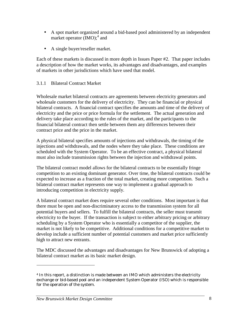- A spot market organized around a bid-based pool administered by an independent market operator  $(MO)$ ;<sup>4</sup> and
- A single buyer/reseller market.

Each of these markets is discussed in more depth in Issues Paper #2. That paper includes a description of how the market works, its advantages and disadvantages, and examples of markets in other jurisdictions which have used that model.

# 3.1.1 Bilateral Contract Market

Wholesale market bilateral contracts are agreements between electricity generators and wholesale customers for the delivery of electricity. They can be financial or physical bilateral contracts. A financial contract specifies the amounts and time of the delivery of electricity and the price or price formula for the settlement. The actual generation and delivery take place according to the rules of the market, and the participants to the financial bilateral contract then settle between them any differences between their contract price and the price in the market.

A physical bilateral specifies amounts of injections and withdrawals, the timing of the injections and withdrawals, and the nodes where they take place. These conditions are scheduled with the System Operator. To be an effective contract, a physical bilateral must also include transmission rights between the injection and withdrawal points.

The bilateral contract model allows for the bilateral contracts to be essentially fringe competition to an existing dominant generator. Over time, the bilateral contracts could be expected to increase as a fraction of the total market, creating more competition. Such a bilateral contract market represents one way to implement a gradual approach to introducing competition in electricity supply.

A bilateral contract market does require several other conditions. Most important is that there must be open and non-discriminatory access to the transmission system for all potential buyers and sellers. To fulfill the bilateral contracts, the seller must transmit electricity to the buyer. If the transaction is subject to either arbitrary pricing or arbitrary scheduling by a System Operator who is essentially a competitor of the supplier, the market is not likely to be competitive. Additional conditions for a competitive market to develop include a sufficient number of potential customers and market price sufficiently high to attract new entrants.

The MDC discussed the advantages and disadvantages for New Brunswick of adopting a bilateral contract market as its basic market design.

<sup>4</sup> In this report, a distinction is made between an IMO which administers the electricity exchange or bid-based pool and an independent System Operator (ISO) which is responsible for the operation of the system.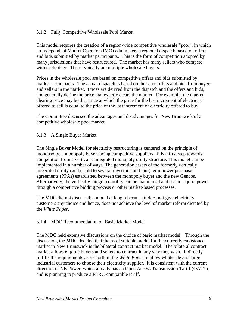## 3.1.2 Fully Competitive Wholesale Pool Market

This model requires the creation of a region-wide competitive wholesale "pool", in which an Independent Market Operator (IMO) administers a regional dispatch based on offers and bids submitted by market participants. This is the form of competition adopted by many jurisdictions that have restructured. The market has many sellers who compete with each other. There typically are multiple wholesale buyers.

Prices in the wholesale pool are based on competitive offers and bids submitted by market participants. The actual dispatch is based on the same offers and bids from buyers and sellers in the market. Prices are derived from the dispatch and the offers and bids, and generally define the price that exactly clears the market. For example, the marketclearing price may be that price at which the price for the last increment of electricity offered to sell is equal to the price of the last increment of electricity offered to buy.

The Committee discussed the advantages and disadvantages for New Brunswick of a competitive wholesale pool market.

# 3.1.3 A Single Buyer Market

The Single Buyer Model for electricity restructuring is centered on the principle of monopsony, a monopoly buyer facing competitive suppliers. It is a first step towards competition from a vertically integrated monopoly utility structure. This model can be implemented in a number of ways. The generation assets of the formerly vertically integrated utility can be sold to several investors, and long-term power purchase agreements (PPAs) established between the monopoly buyer and the new Gencos. Alternatively, the vertically integrated utility can be maintained and it can acquire power through a competitive bidding process or other market-based processes.

The MDC did not discuss this model at length because it does not give electricity customers any choice and hence, does not achieve the level of market reform dictated by the *White Paper*.

# 3.1.4 MDC Recommendation on Basic Market Model

The MDC held extensive discussions on the choice of basic market model. Through the discussion, the MDC decided that the most suitable model for the currently envisioned market in New Brunswick is the bilateral contract market model. The bilateral contract market allows eligible buyers and sellers to contract in any way they wish. It directly fulfills the requirements as set forth in the *White Paper* to allow wholesale and large industrial customers to choose their electricity supplier. It is consistent with the current direction of NB Power, which already has an Open Access Transmission Tariff (OATT) and is planning to produce a FERC-compatible tariff.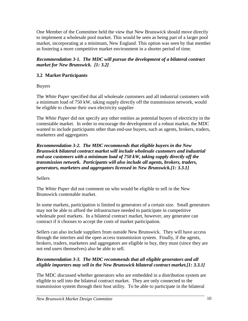One Member of the Committee held the view that New Brunswick should move directly to implement a wholesale pool market. This would be seen as being part of a larger pool market, incorporating at a minimum, New England. This option was seen by that member as fostering a more competitive market environment in a shorter period of time.

*Recommendation 3-1. The MDC will pursue the development of a bilateral contract market for New Brunswick. [1: 3.2]* 

# **3.2 Market Participants**

Buyers

The *White Paper* specified that all wholesale customers and all industrial customers with a minimum load of 750 kW, taking supply directly off the transmission network, would be eligible to choose their own electricity supplier

The *White Paper* did not specify any other entities as potential buyers of electricity in the contestable market. In order to encourage the development of a robust market, the MDC wanted to include participants other than end-use buyers, such as agents, brokers, traders, marketers and aggregators

*Recommendation 3-2. The MDC recommends that eligible buyers in the New Brunswick bilateral contract market will include wholesale customers and industrial end-use customers with a minimum load of 750 kW, taking supply directly off the transmission network. Participants will also include all agents, brokers, traders, generators, marketers and aggregators licensed in New Brunswick.[1: 3.3.1]* 

Sellers

The *White Paper* did not comment on who would be eligible to sell in the New Brunswick contestable market.

In some markets, participation is limited to generators of a certain size. Small generators may not be able to afford the infrastructure needed to participate in competitive wholesale pool markets. In a bilateral contract market, however, any generator can contract if it chooses to accept the costs of market participation.

Sellers can also include suppliers from outside New Brunswick. They will have access through the interties and the open access transmission system. Finally, if the agents, brokers, traders, marketers and aggregators are eligible to buy, they must (since they are not end users themselves) also be able to sell.

# *Recommendation 3-3. The MDC recommends that all eligible generators and all eligible importers may sell in the New Brunswick bilateral contract market.[1: 3.3.1]*

The MDC discussed whether generators who are embedded in a distribution system are eligible to sell into the bilateral contract market. They are only connected to the transmission system through their host utility. To be able to participate in the bilateral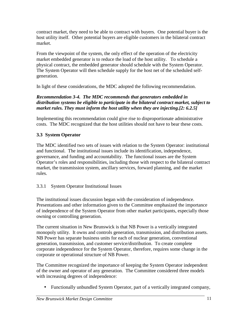contract market, they need to be able to contract with buyers. One potential buyer is the host utility itself. Other potential buyers are eligible customers in the bilateral contract market.

From the viewpoint of the system, the only effect of the operation of the electricity market embedded generator is to reduce the load of the host utility. To schedule a physical contract, the embedded generator should schedule with the System Operator. The System Operator will then schedule supply for the host net of the scheduled selfgeneration.

In light of these considerations, the MDC adopted the following recommendation.

# *Recommendation 3-4. The MDC recommends that generators embedded in distribution systems be eligible to participate in the bilateral contract market, subject to market rules. They must inform the host utility when they are injecting.[2: 6.2.5]*

Implementing this recommendation could give rise to disproportionate administrative costs. The MDC recognized that the host utilities should not have to bear these costs.

# **3.3 System Operator**

The MDC identified two sets of issues with relation to the System Operator: institutional and functional. The institutional issues include its identification, independence, governance, and funding and accountability. The functional issues are the System Operator's roles and responsibilities, including those with respect to the bilateral contract market, the transmission system, ancillary services, forward planning, and the market rules.

# 3.3.1 System Operator Institutional Issues

The institutional issues discussion began with the consideration of independence. Presentations and other information given to the Committee emphasized the importance of independence of the System Operator from other market participants, especially those owning or controlling generation.

The current situation in New Brunswick is that NB Power is a vertically integrated monopoly utility. It owns and controls generation, transmission, and distribution assets. NB Power has separate business units for each of nuclear generation, conventional generation, transmission, and customer service/distribution. To create complete corporate independence for the System Operator, therefore, requires some change in the corporate or operational structure of NB Power.

The Committee recognized the importance of keeping the System Operator independent of the owner and operator of any generation. The Committee considered three models with increasing degrees of independence:

• Functionally unbundled System Operator, part of a vertically integrated company,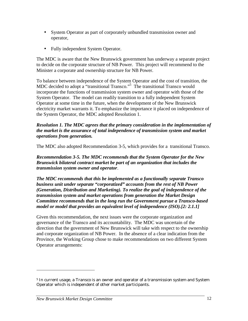- System Operator as part of corporately unbundled transmission owner and operator,
- Fully independent System Operator.

The MDC is aware that the New Brunswick government has underway a separate project to decide on the corporate structure of NB Power. This project will recommend to the Minister a corporate and ownership structure for NB Power.

To balance between independence of the System Operator and the cost of transition, the MDC decided to adopt a "transitional Transco."<sup>5</sup> The transitional Transco would incorporate the functions of transmission system owner and operator with those of the System Operator. The model can readily transition to a fully independent System Operator at some time in the future, when the development of the New Brunswick electricity market warrants it. To emphasize the importance it placed on independence of the System Operator, the MDC adopted Resolution 1.

#### *Resolution 1. The MDC agrees that the primary consideration in the implementation of the market is the assurance of total independence of transmission system and market operations from generation.*

The MDC also adopted Recommendation 3-5, which provides for a transitional Transco.

*Recommendation 3-5. The MDC recommends that the System Operator for the New Brunswick bilateral contract market be part of an organization that includes the transmission system owner and operator*.

*The MDC recommends that this be implemented as a functionally separate Transco business unit under separate "corporatized" accounts from the rest of NB Power (Generation, Distribution and Marketing). To realize the goal of independence of the transmission system and market operations from generation the Market Design Committee recommends that in the long run the Government pursue a Transco-based model or model that provides an equivalent level of independence (ISO).[2: 2.1.1]* 

Given this recommendation, the next issues were the corporate organization and governance of the Transco and its accountability. The MDC was uncertain of the direction that the government of New Brunswick will take with respect to the ownership and corporate organization of NB Power. In the absence of a clear indication from the Province, the Working Group chose to make recommendations on two different System Operator arrangements:

<sup>5</sup> In current usage, a Transco is an owner and operator of a transmission system and System Operator which is independent of other market participants.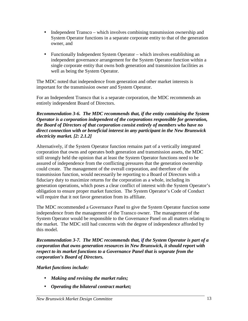- Independent Transco which involves combining transmission ownership and System Operator functions in a separate corporate entity to that of the generation owner, and
- Functionally Independent System Operator which involves establishing an independent governance arrangement for the System Operator function within a single corporate entity that owns both generation and transmission facilities as well as being the System Operator.

The MDC noted that independence from generation and other market interests is important for the transmission owner and System Operator.

For an Independent Transco that is a separate corporation, the MDC recommends an entirely independent Board of Directors.

#### *Recommendation 3-6. The MDC recommends that, if the entity containing the System Operator is a corporation independent of the corporations responsible for generation, the Board of Directors of that corporation consist entirely of members who have no direct connection with or beneficial interest in any participant in the New Brunswick electricity market. [2: 2.1.2]*

Alternatively, if the System Operator function remains part of a vertically integrated corporation that owns and operates both generation and transmission assets, the MDC still strongly held the opinion that at least the System Operator functions need to be assured of independence from the conflicting pressures that the generation ownership could create. The management of the overall corporation, and therefore of the transmission function, would necessarily be reporting to a Board of Directors with a fiduciary duty to maximize returns for the corporation as a whole, including its generation operations, which poses a clear conflict of interest with the System Operator's obligation to ensure proper market function. The System Operator's Code of Conduct will require that it not favor generation from its affiliate.

The MDC recommended a Governance Panel to give the System Operator function some independence from the management of the Transco owner. The management of the System Operator would be responsible to the Governance Panel on all matters relating to the market. The MDC still had concerns with the degree of independence afforded by this model.

*Recommendation 3-7. The MDC recommends that, if the System Operator is part of a corporation that owns generation resources in New Brunswick, it should report with respect to its market functions to a Governance Panel that is separate from the corporation's Board of Directors.* 

*Market functions include:* 

- *Making and revising the market rules;*
- *Operating the bilateral contract market;*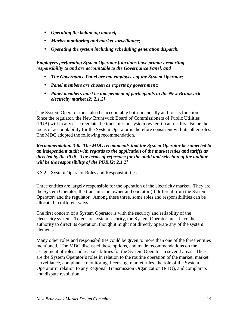- *Operating the balancing market;*
- *Market monitoring and market surveillance;*
- *Operating the system including scheduling generation dispatch.*

*Employees performing System Operator functions have primary reporting responsibility to and are accountable to the Governance Panel, and* 

- *The Governance Panel are not employees of the System Operator;*
- *Panel members are chosen as experts by government;*
- *Panel members must be independent of participants in the New Brunswick electricity market [2: 2.1.2]*

The System Operator must also be accountable both financially and for its function. Since the regulator, the New Brunswick Board of Commissioners of Public Utilities (PUB) will in any case regulate the transmission system owner, it can readily also be the locus of accountability for the System Operator is therefore consistent with its other roles. The MDC adopted the following recommendation.

#### *Recommendation 3-8. The MDC recommends that the System Operator be subjected to an independent audit with regards to the application of the market rules and tariffs as directed by the PUB. The terms of reference for the audit and selection of the auditor will be the responsibility of the PUB.[2: 2.1.2]*

# 3.3.2 System Operator Roles and Responsibilities

Three entities are largely responsible for the operation of the electricity market. They are the System Operator, the transmission owner and operator (if different from the System Operator) and the regulator. Among these three, some roles and responsibilities can be allocated in different ways.

The first concern of a System Operator is with the security and reliability of the electricity system. To ensure system security, the System Operator must have the authority to direct its operation, though it might not directly operate any of the system elements.

Many other roles and responsibilities could be given to more than one of the three entities mentioned. The MDC discussed these options, and made recommendations on the assignment of roles and responsibilities for the System Operator in several areas. These are the System Operator's roles in relation to the routine operation of the market, market surveillance, compliance monitoring, licensing, market rules, the role of the System Operator in relation to any Regional Transmission Organization (RTO), and complaints and dispute resolution.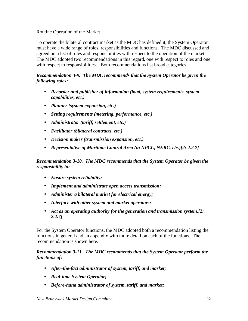#### Routine Operation of the Market

To operate the bilateral contract market as the MDC has defined it, the System Operator must have a wide range of roles, responsibilities and functions. The MDC discussed and agreed on a list of roles and responsibilities with respect to the operation of the market. The MDC adopted two recommendations in this regard, one with respect to roles and one with respect to responsibilities. Both recommendations list broad categories.

#### *Recommendation 3-9. The MDC recommends that the System Operator be given the following roles:*

- *Recorder and publisher of information (load, system requirements, system capabilities, etc.)*
- *Planner (system expansion, etc.)*
- *Setting requirements (metering, performance, etc.)*
- *Administrator (tariff, settlement, etc.)*
- *Facilitator (bilateral contracts, etc.)*
- *Decision maker (transmission expansion, etc.)*
- *Representative of Maritime Control Area (in NPCC, NERC, etc.)[2: 2.2.7]*

*Recommendation 3-10. The MDC recommends that the System Operator be given the responsibility to:* 

- *Ensure system reliability;*
- *Implement and administrate open access transmission;*
- *Administer a bilateral market for electrical energy;*
- *Interface with other system and market operators;*
- *Act as an operating authority for the generation and transmission system.[2: 2.2.7]*

For the System Operator functions, the MDC adopted both a recommendation listing the functions in general and an appendix with more detail on each of the functions. The recommendation is shown here.

#### *Recommendation 3-11. The MDC recommends that the System Operator perform the functions of:*

- *After-the-fact administrator of system, tariff, and market;*
- *Real-time System Operator;*
- *Before-hand administrator of system, tariff, and market;*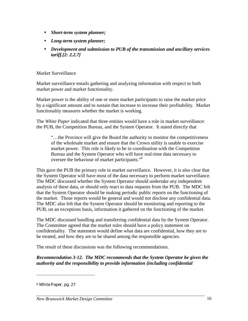- *Short-term system planner;*
- *Long-term system planner;*
- *Development and submission to PUB of the transmission and ancillary services tariff.[2: 2.2.7]*

#### Market Surveillance

Market surveillance entails gathering and analyzing information with respect to both market power and market functionality.

Market power is the ability of one or more market participants to raise the market price by a significant amount and to sustain that increase to increase their profitability. Market functionality measures whether the market is working.

The *White Paper* indicated that three entities would have a role in market surveillance: the PUB, the Competition Bureau, and the System Operator. It stated directly that

"…the Province will give the Board the authority to monitor the competitiveness of the wholesale market and ensure that the Crown utility is unable to exercise market power. This role is likely to be in coordination with the Competition Bureau and the System Operator who will have real-time data necessary to oversee the behaviour of market participants."<sup>6</sup>

This gave the PUB the primary role in market surveillance. However, it is also clear that the System Operator will have most of the data necessary to perform market surveillance. The MDC discussed whether the System Operator should undertake any independent analysis of these data, or should only react to data requests from the PUB. The MDC felt that the System Operator should be making periodic public reports on the functioning of the market. Those reports would be general and would not disclose any confidential data. The MDC also felt that the System Operator should be monitoring and reporting to the PUB, on an exceptions basis, information it gathered on the functioning of the market.

The MDC discussed handling and transferring confidential data by the System Operator. The Committee agreed that the market rules should have a policy statement on confidentiality. The statement would define what data are confidential, how they are to be treated, and how they are to be shared among the responsible agencies.

The result of these discussions was the following recommendations.

*Recommendation 3-12. The MDC recommends that the System Operator be given the authority and the responsibility to provide information (including confidential* 

<sup>6</sup> *White Paper,* pg. 27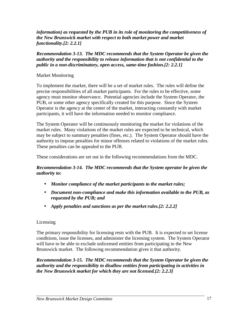*information) as requested by the PUB in its role of monitoring the competitiveness of the New Brunswick market with respect to both market power and market functionality.[2: 2.2.1]* 

*Recommendation 3-13. The MDC recommends that the System Operator be given the authority and the responsibility to release information that is not confidential to the public in a non-discriminatory, open access, same-time fashion.[2: 2.2.1]* 

# Market Monitoring

To implement the market, there will be a set of market rules. The rules will define the precise responsibilities of all market participants. For the rules to be effective, some agency must monitor observance. Potential agencies include the System Operator, the PUB, or some other agency specifically created for this purpose. Since the System Operator is the agency at the center of the market, interacting constantly with market participants, it will have the information needed to monitor compliance.

The System Operator will be continuously monitoring the market for violations of the market rules. Many violations of the market rules are expected to be technical, which may be subject to summary penalties (fines, etc.). The System Operator should have the authority to impose penalties for minor offenses related to violations of the market rules. These penalties can be appealed to the PUB.

These considerations are set out in the following recommendations from the MDC.

## *Recommendation 3-14. The MDC recommends that the System operator be given the authority to:*

- *Monitor compliance of the market participants to the market rules;*
- *Document non-compliance and make this information available to the PUB, as requested by the PUB; and*
- *Apply penalties and sanctions as per the market rules.[2: 2.2.2]*

# Licensing

The primary responsibility for licensing rests with the PUB. It is expected to set license conditions, issue the licenses, and administer the licensing system. The System Operator will have to be able to exclude unlicensed entities from participating in the New Brunswick market. The following recommendation gives it that authority.

*Recommendation 3-15. The MDC recommends that the System Operator be given the authority and the responsibility to disallow entities from participating in activities in the New Brunswick market for which they are not licensed.[2: 2.2.3]*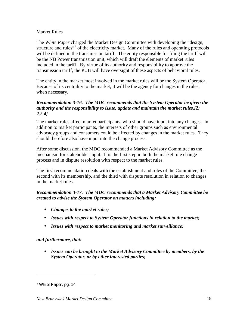#### Market Rules

The *White Paper* charged the Market Design Committee with developing the "design, structure and rules"<sup>7</sup> of the electricity market. Many of the rules and operating protocols will be defined in the transmission tariff. The entity responsible for filing the tariff will be the NB Power transmission unit, which will draft the elements of market rules included in the tariff. By virtue of its authority and responsibility to approve the transmission tariff, the PUB will have oversight of these aspects of behavioral rules.

The entity in the market most involved in the market rules will be the System Operator. Because of its centrality to the market, it will be the agency for changes in the rules, when necessary.

#### *Recommendation 3-16. The MDC recommends that the System Operator be given the authority and the responsibility to issue, update and maintain the market rules.[2: 2.2.4]*

The market rules affect market participants, who should have input into any changes. In addition to market participants, the interests of other groups such as environmental advocacy groups and consumers could be affected by changes in the market rules. They should therefore also have input into the change process.

After some discussion, the MDC recommended a Market Advisory Committee as the mechanism for stakeholder input. It is the first step in both the market rule change process and in dispute resolution with respect to the market rules.

The first recommendation deals with the establishment and roles of the Committee, the second with its membership, and the third with dispute resolution in relation to changes in the market rules.

#### *Recommendation 3-17. The MDC recommends that a Market Advisory Committee be created to advise the System Operator on matters including:*

- *Changes to the market rules;*
- *Issues with respect to System Operator functions in relation to the market;*
- *Issues with respect to market monitoring and market surveillance;*

#### *and furthermore, that:*

• *Issues can be brought to the Market Advisory Committee by members, by the System Operator, or by other interested parties;* 

<sup>7</sup> *White Paper,* pg. 14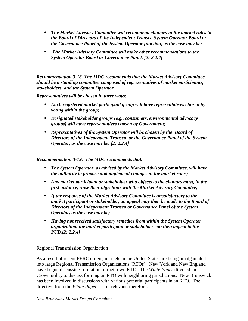- *The Market Advisory Committee will recommend changes in the market rules to the Board of Directors of the Independent Transco System Operator Board or the Governance Panel of the System Operator function, as the case may be;*
- • *The Market Advisory Committee will make other recommendations to the System Operator Board or Governance Panel. [2: 2.2.4]*

*Recommendation 3-18. The MDC recommends that the Market Advisory Committee should be a standing committee composed of representatives of market participants, stakeholders, and the System Operator.* 

*Representatives will be chosen in three ways:* 

- *Each registered market participant group will have representatives chosen by voting within the group;*
- *Designated stakeholder groups (e.g., consumers, environmental advocacy groups) will have representatives chosen by Government;*
- *Representatives of the System Operator will be chosen by the Board of Directors of the Independent Transco or the Governance Panel of the System Operator, as the case may be. [2: 2.2.4]*

#### *Recommendation 3-19. The MDC recommends that:*

- *The System Operator, as advised by the Market Advisory Committee, will have the authority to propose and implement changes in the market rules;*
- *Any market participant or stakeholder who objects to the changes must, in the first instance, raise their objections with the Market Advisory Committee;*
- *If the response of the Market Advisory Committee is unsatisfactory to the market participant or stakeholder, an appeal may then be made to the Board of Directors of the Independent Transco or Governance Panel of the System Operator, as the case may be;*
- *Having not received satisfactory remedies from within the System Operator organization, the market participant or stakeholder can then appeal to the PUB.[2: 2.2.4]*

Regional Transmission Organization

As a result of recent FERC orders, markets in the United States are being amalgamated into large Regional Transmission Organizations (RTOs). New York and New England have begun discussing formation of their own RTO. The *White Paper* directed the Crown utility to discuss forming an RTO with neighboring jurisdictions. New Brunswick has been involved in discussions with various potential participants in an RTO. The directive from the *White Paper* is still relevant, therefore.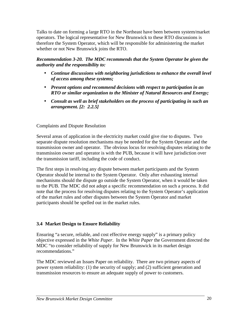Talks to date on forming a large RTO in the Northeast have been between system/market operators. The logical representative for New Brunswick to these RTO discussions is therefore the System Operator, which will be responsible for administering the market whether or not New Brunswick joins the RTO.

*Recommendation 3-20. The MDC recommends that the System Operator be given the authority and the responsibility to:* 

- *Continue discussions with neighboring jurisdictions to enhance the overall level of access among these systems;*
- *Present options and recommend decisions with respect to participation in an RTO or similar organization to the Minister of Natural Resources and Energy;*
- *Consult as well as brief stakeholders on the process of participating in such an arrangement. [2: 2.2.5]*

# Complaints and Dispute Resolution

Several areas of application in the electricity market could give rise to disputes. Two separate dispute resolution mechanisms may be needed for the System Operator and the transmission owner and operator. The obvious locus for resolving disputes relating to the transmission owner and operator is with the PUB, because it will have jurisdiction over the transmission tariff, including the code of conduct.

The first steps in resolving any dispute between market participants and the System Operator should be internal to the System Operator. Only after exhausting internal mechanisms should the dispute go outside the System Operator, when it would be taken to the PUB. The MDC did not adopt a specific recommendation on such a process. It did note that the process for resolving disputes relating to the System Operator's application of the market rules and other disputes between the System Operator and market participants should be spelled out in the market rules.

# **3.4 Market Design to Ensure Reliability**

Ensuring "a secure, reliable, and cost effective energy supply" is a primary policy objective expressed in the *White Paper*. In the *White Paper* the Government directed the MDC "to consider reliability of supply for New Brunswick in its market design recommendations."

The MDC reviewed an Issues Paper on reliability. There are two primary aspects of power system reliability: (1) the security of supply; and (2) sufficient generation and transmission resources to ensure an adequate supply of power to customers.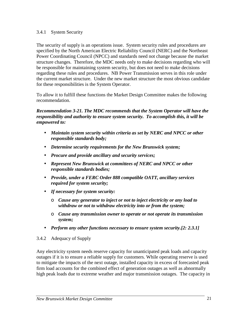#### 3.4.1 System Security

The security of supply is an operations issue. System security rules and procedures are specified by the North American Electric Reliability Council (NERC) and the Northeast Power Coordinating Council (NPCC) and standards need not change because the market structure changes. Therefore, the MDC needs only to make decisions regarding who will be responsible for maintaining system security, but does not need to make decisions regarding these rules and procedures. NB Power Transmission serves in this role under the current market structure. Under the new market structure the most obvious candidate for these responsibilities is the System Operator.

To allow it to fulfill these functions the Market Design Committee makes the following recommendation.

*Recommendation 3-21. The MDC recommends that the System Operator will have the responsibility and authority to ensure system security. To accomplish this, it will be empowered to:* 

- *Maintain system security within criteria as set by NERC and NPCC or other responsible standards body;*
- *Determine security requirements for the New Brunswick system;*
- *Procure and provide ancillary and security services;*
- *Represent New Brunswick at committees of NERC and NPCC or other responsible standards bodies;*
- *Provide, under a FERC Order 888 compatible OATT, ancillary services required for system security;*
- *If necessary for system security:* 
	- ο *Cause any generator to inject or not to inject electricity or any load to withdraw or not to withdraw electricity into or from the system;*
	- ο *Cause any transmission owner to operate or not operate its transmission system;*
- *Perform any other functions necessary to ensure system security.[2: 2.3.1]*
- 3.4.2 Adequacy of Supply

Any electricity system needs reserve capacity for unanticipated peak loads and capacity outages if it is to ensure a reliable supply for customers. While operating reserve is used to mitigate the impacts of the next outage, installed capacity in excess of forecasted peak firm load accounts for the combined effect of generation outages as well as abnormally high peak loads due to extreme weather and major transmission outages. The capacity in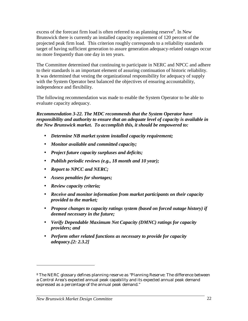excess of the forecast firm load is often referred to as planning reserve.<sup>8</sup> In New Brunswick there is currently an installed capacity requirement of 120 percent of the projected peak firm load. This criterion roughly corresponds to a reliability standards target of having sufficient generation to assure generation adequacy-related outages occur no more frequently than one day in ten years.

The Committee determined that continuing to participate in NERC and NPCC and adhere to their standards is an important element of assuring continuation of historic reliability. It was determined that vesting the organizational responsibility for adequacy of supply with the System Operator best balanced the objectives of ensuring accountability, independence and flexibility.

The following recommendation was made to enable the System Operator to be able to evaluate capacity adequacy.

*Recommendation 3-22. The MDC recommends that the System Operator have responsibility and authority to ensure that an adequate level of capacity is available in the New Brunswick market. To accomplish this, it should be empowered to:* 

- *Determine NB market system installed capacity requirement;*
- *Monitor available and committed capacity;*
- *Project future capacity surpluses and deficits;*
- *Publish periodic reviews (e.g., 18 month and 10 year);*
- *Report to NPCC and NERC;*
- *Assess penalties for shortages;*
- *Review capacity criteria;*
- *Receive and monitor information from market participants on their capacity provided to the market;*
- *Propose changes to capacity ratings system (based on forced outage history) if deemed necessary in the future;*
- *Verify Dependable Maximum Net Capacity (DMNC) ratings for capacity providers; and*
- *Perform other related functions as necessary to provide for capacity adequacy.[2: 2.3.2]*

<sup>8</sup> The NERC glossary defines planning reserve as "Planning Reserve: The difference between a Control Area's expected annual peak capability and its expected annual peak demand expressed as a percentage of the annual peak demand."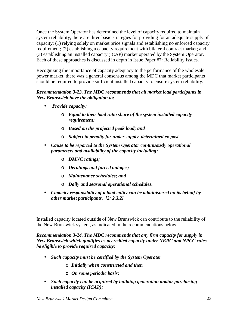Once the System Operator has determined the level of capacity required to maintain system reliability, there are three basic strategies for providing for an adequate supply of capacity: (1) relying solely on market price signals and establishing no enforced capacity requirement; (2) establishing a capacity requirement with bilateral contract market; and (3) establishing an installed capacity (ICAP) market operated by the System Operator. Each of these approaches is discussed in depth in Issue Paper #7: Reliability Issues.

Recognizing the importance of capacity adequacy to the performance of the wholesale power market, there was a general consensus among the MDC that market participants should be required to provide sufficient installed capacity to ensure system reliability.

# *Recommendation 3-23. The MDC recommends that all market load participants in New Brunswick have the obligation to:*

- • *Provide capacity:* 
	- ο *Equal to their load ratio share of the system installed capacity requirement;*
	- ο *Based on the projected peak load; and*
	- ο *Subject to penalty for under supply, determined ex post.*
- *Cause to be reported to the System Operator continuously operational parameters and availability of the capacity including:* 
	- ο *DMNC ratings;*
	- ο *Deratings and forced outages;*
	- ο *Maintenance schedules; and*
	- ο *Daily and seasonal operational schedules.*
- *Capacity responsibility of a load entity can be administered on its behalf by other market participants. [2: 2.3.2]*

Installed capacity located outside of New Brunswick can contribute to the reliability of the New Brunswick system, as indicated in the recommendations below.

*Recommendation 3-24. The MDC recommends that any firm capacity for supply in New Brunswick which qualifies as accredited capacity under NERC and NPCC rules be eligible to provide required capacity:* 

- *Such capacity must be certified by the System Operator* 
	- o *Initially when constructed and then*
	- o *On some periodic basis;*
- *Such capacity can be acquired by building generation and/or purchasing installed capacity (ICAP);*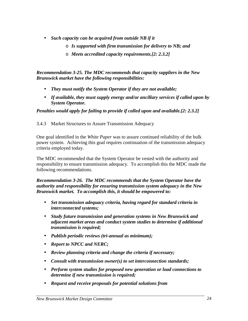- *Such capacity can be acquired from outside NB if it* 
	- o *Is supported with firm transmission for delivery to NB; and*
	- o *Meets accredited capacity requirements.[2: 2.3.2]*

*Recommendation 3-25. The MDC recommends that capacity suppliers in the New Brunswick market have the following responsibilities:* 

- *They must notify the System Operator if they are not available;*
- *If available, they must supply energy and/or ancillary services if called upon by System Operator.*

*Penalties would apply for failing to provide if called upon and available.[2: 2.3.2]* 

3.4.3 Market Structures to Assure Transmission Adequacy

One goal identified in the *White Paper* was to assure continued reliability of the bulk power system. Achieving this goal requires continuation of the transmission adequacy criteria employed today.

The MDC recommended that the System Operator be vested with the authority and responsibility to ensure transmission adequacy. To accomplish this the MDC made the following recommendations.

*Recommendation 3-26. The MDC recommends that the System Operator have the authority and responsibility for ensuring transmission system adequacy in the New Brunswick market. To accomplish this, it should be empowered to:* 

- *Set transmission adequacy criteria, having regard for standard criteria in interconnected systems;*
- *Study future transmission and generation systems in New Brunswick and adjacent market areas and conduct system studies to determine if additional transmission is required;*
- *Publish periodic reviews (tri-annual as minimum);*
- *Report to NPCC and NERC;*
- *Review planning criteria and change the criteria if necessary;*
- *Consult with transmission owner(s) to set interconnection standards;*
- *Perform system studies for proposed new generation or load connections to determine if new transmission is required;*
- *Request and receive proposals for potential solutions from*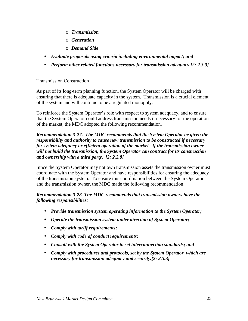- o *Transmission*
- o *Generation*
- o *Demand Side*
- *Evaluate proposals using criteria including environmental impact; and*
- *Perform other related functions necessary for transmission adequacy.[2: 2.3.3]*

#### Transmission Construction

As part of its long-term planning function, the System Operator will be charged with ensuring that there is adequate capacity in the system. Transmission is a crucial element of the system and will continue to be a regulated monopoly.

To reinforce the System Operator's role with respect to system adequacy, and to ensure that the System Operator could address transmission needs if necessary for the operation of the market, the MDC adopted the following recommendation.

#### *Recommendation 3-27. The MDC recommends that the System Operator be given the responsibility and authority to cause new transmission to be constructed if necessary for system adequacy or efficient operation of the market. If the transmission owner will not build the transmission, the System Operator can contract for its construction and ownership with a third party. [2: 2.2.8]*

Since the System Operator may not own transmission assets the transmission owner must coordinate with the System Operator and have responsibilities for ensuring the adequacy of the transmission system. To ensure this coordination between the System Operator and the transmission owner, the MDC made the following recommendation.

#### *Recommendation 3-28. The MDC recommends that transmission owners have the following responsibilities:*

- *Provide transmission system operating information to the System Operator;*
- *Operate the transmission system under direction of System Operator;*
- *Comply with tariff requirements;*
- *Comply with code of conduct requirements;*
- *Consult with the System Operator to set interconnection standards; and*
- *Comply with procedures and protocols, set by the System Operator, which are necessary for transmission adequacy and security.[2: 2.3.3]*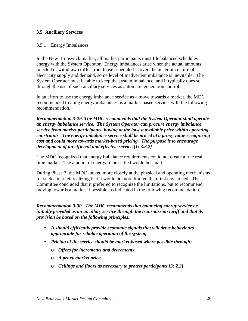#### **3.5 Ancillary Services**

#### 3.5.1 Energy Imbalances

In the New Brunswick market, all market participants must file balanced schedules energy with the System Operator. Energy imbalances arise when the actual amounts injected or withdrawn differ from those scheduled. Given the uncertain nature of electricity supply and demand, some level of inadvertent imbalance is inevitable. The System Operator must be able to keep the system in balance, and it typically does so through the use of such ancillary services as automatic generation control.

In an effort to use the energy imbalance service as a move towards a market, the MDC recommended treating energy imbalances as a market-based service, with the following recommendation.

*Recommendation 3-29. The MDC recommends that the System Operator shall operate an energy imbalance service. The System Operator can procure energy imbalance service from market participants, buying at the lowest available price within operating constraints. The energy imbalance service shall be priced at a proxy value recognizing cost and could move towards market-based pricing. The purpose is to encourage development of an efficient and effective service.[1: 3.3.2]* 

The MDC recognized that energy imbalance requirements could not create a true real time market. The amount of energy to be settled would be small.

During Phase 3, the MDC looked more closely at the physical and operating mechanisms for such a market, realizing that it would be more limited than first envisioned. The Committee concluded that it preferred to recognize the limitations, but to recommend moving towards a market if possible, as indicated in the following recommendation.

*Recommendation 3-30. The MDC recommends that balancing energy service be initially provided as an ancillary service through the transmission tariff and that its provision be based on the following principles:* 

- *It should efficiently provide economic signals that will drive behaviours appropriate for reliable operation of the system;*
- *Pricing of the service should be market-based where possible through:* 
	- o *Offers for increments and decrements*
	- o *A proxy market price*
	- o *Ceilings and floors as necessary to protect participants.[3: 2.2]*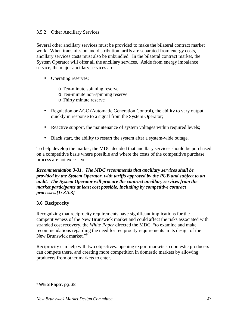#### 3.5.2 Other Ancillary Services

Several other ancillary services must be provided to make the bilateral contract market work. When transmission and distribution tariffs are separated from energy costs, ancillary services costs must also be unbundled. In the bilateral contract market, the System Operator will offer all the ancillary services. Aside from energy imbalance service, the major ancillary services are:

- Operating reserves;
	- o Ten-minute spinning reserve
	- o Ten-minute non-spinning reserve
	- o Thirty minute reserve
- Regulation or AGC (Automatic Generation Control), the ability to vary output quickly in response to a signal from the System Operator;
- Reactive support, the maintenance of system voltages within required levels;
- Black start, the ability to restart the system after a system-wide outage.

To help develop the market, the MDC decided that ancillary services should be purchased on a competitive basis where possible and where the costs of the competitive purchase process are not excessive.

*Recommendation 3-31. The MDC recommends that ancillary services shall be provided by the System Operator, with tariffs approved by the PUB and subject to an audit. The System Operator will procure the contract ancillary services from the market participants at least cost possible, including by competitive contract processes.[1: 3.3.3]* 

## **3.6 Reciprocity**

Recognizing that reciprocity requirements have significant implications for the competitiveness of the New Brunswick market and could affect the risks associated with stranded cost recovery, the *White Paper* directed the MDC "to examine and make recommendations regarding the need for reciprocity requirements in its design of the New Brunswick market."<sup>9</sup>

Reciprocity can help with two objectives: opening export markets so domestic producers can compete there, and creating more competition in domestic markets by allowing producers from other markets to enter.

<sup>9</sup> *White Paper*, pg. 38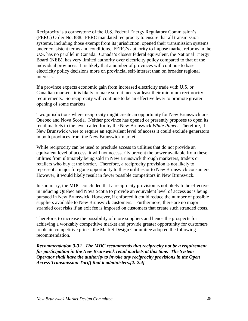Reciprocity is a cornerstone of the U.S. Federal Energy Regulatory Commission's (FERC) Order No. 888. FERC mandated reciprocity to ensure that all transmission systems, including those exempt from its jurisdiction, opened their transmission systems under consistent terms and conditions. FERC's authority to impose market reforms in the U.S. has no parallel in Canada. Canada's closest federal equivalent, the National Energy Board (NEB), has very limited authority over electricity policy compared to that of the individual provinces. It is likely that a number of provinces will continue to base electricity policy decisions more on provincial self-interest than on broader regional interests.

If a province expects economic gain from increased electricity trade with U.S. or Canadian markets, it is likely to make sure it meets at least their minimum reciprocity requirements. So reciprocity will continue to be an effective lever to promote greater opening of some markets.

Two jurisdictions where reciprocity might create an opportunity for New Brunswick are Quebec and Nova Scotia. Neither province has opened or presently proposes to open its retail markets to the level called for by the New Brunswick *White Paper*. Therefore, if New Brunswick were to require an equivalent level of access it could exclude generators in both provinces from the New Brunswick market.

While reciprocity can be used to preclude access to utilities that do not provide an equivalent level of access, it will not necessarily prevent the power available from these utilities from ultimately being sold in New Brunswick through marketers, traders or retailers who buy at the border. Therefore, a reciprocity provision is not likely to represent a major foregone opportunity to these utilities or to New Brunswick consumers. However, it would likely result in fewer possible competitors in New Brunswick.

In summary, the MDC concluded that a reciprocity provision is not likely to be effective in inducing Quebec and Nova Scotia to provide an equivalent level of access as is being pursued in New Brunswick. However, if enforced it could reduce the number of possible suppliers available to New Brunswick customers. Furthermore, there are no major stranded cost risks if an exit fee is imposed on customers that create such stranded costs.

Therefore, to increase the possibility of more suppliers and hence the prospects for achieving a workably competitive market and provide greater opportunity for customers to obtain competitive prices, the Market Design Committee adopted the following recommendation.

*Recommendation 3-32. The MDC recommends that reciprocity not be a requirement for participation in the New Brunswick retail markets at this time. The System Operator shall have the authority to invoke any reciprocity provisions in the Open Access Transmission Tariff that it administers.[2: 2.4]*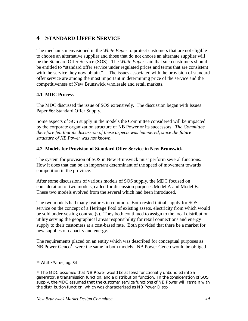# **4 STANDARD OFFER SERVICE**

The mechanism envisioned in the *White Paper* to protect customers that are not eligible to choose an alternative supplier and those that do not choose an alternate supplier will be the Standard Offer Service (SOS). The *White Paper* said that such customers should be entitled to "standard offer service under regulated prices and terms that are consistent with the service they now obtain."<sup>10</sup> The issues associated with the provision of standard offer service are among the most important in determining price of the service and the competitiveness of New Brunswick wholesale and retail markets.

# **4.1 MDC Process**

The MDC discussed the issue of SOS extensively. The discussion began with Issues Paper #6: Standard Offer Supply.

Some aspects of SOS supply in the models the Committee considered will be impacted by the corporate organization structure of NB Power or its successors. *The Committee therefore felt that its discussion of these aspects was hampered, since the future structure of NB Power was not known.* 

# **4.2 Models for Provision of Standard Offer Service in New Brunswick**

The system for provision of SOS in New Brunswick must perform several functions. How it does that can be an important determinant of the speed of movement towards competition in the province.

After some discussions of various models of SOS supply, the MDC focused on consideration of two models, called for discussion purposes Model A and Model B. These two models evolved from the several which had been introduced.

The two models had many features in common. Both rested initial supply for SOS service on the concept of a Heritage Pool of existing assets, electricity from which would be sold under vesting contract(s). They both continued to assign to the local distribution utility serving the geographical areas responsibility for retail connections and energy supply to their customers at a cost-based rate. Both provided that there be a market for new supplies of capacity and energy.

The requirements placed on an entity which was described for conceptual purposes as NB Power Genco<sup>11</sup> were the same in both models. NB Power Genco would be obliged

<sup>10</sup> *White Paper*, pg. 34

<sup>11</sup> The MDC assumed that NB Power would be at least functionally unbundled into a generator, a transmission function, and a distribution function. In the consideration of SOS supply, the MDC assumed that the customer service functions of NB Power will remain with the distribution function, which was characterized as NB Power Disco.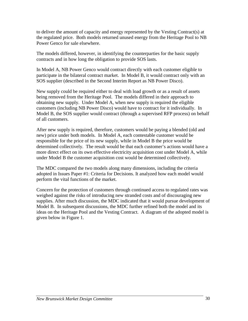to deliver the amount of capacity and energy represented by the Vesting Contract(s) at the regulated price. Both models returned unused energy from the Heritage Pool to NB Power Genco for sale elsewhere.

The models differed, however, in identifying the counterparties for the basic supply contracts and in how long the obligation to provide SOS lasts.

In Model A, NB Power Genco would contract directly with each customer eligible to participate in the bilateral contract market. In Model B, it would contract only with an SOS supplier (described in the Second Interim Report as NB Power Disco).

New supply could be required either to deal with load growth or as a result of assets being removed from the Heritage Pool. The models differed in their approach to obtaining new supply. Under Model A, when new supply is required the eligible customers (including NB Power Disco) would have to contract for it individually. In Model B, the SOS supplier would contract (through a supervised RFP process) on behalf of all customers.

After new supply is required, therefore, customers would be paying a blended (old and new) price under both models. In Model A, each contestable customer would be responsible for the price of its new supply, while in Model B the price would be determined collectively. The result would be that each customer's actions would have a more direct effect on its own effective electricity acquisition cost under Model A, while under Model B the customer acquisition cost would be determined collectively.

The MDC compared the two models along many dimensions, including the criteria adopted in Issues Paper #1: Criteria for Decisions. It analyzed how each model would perform the vital functions of the market.

Concern for the protection of customers through continued access to regulated rates was weighed against the risks of introducing new stranded costs and of discouraging new supplies. After much discussion, the MDC indicated that it would pursue development of Model B. In subsequent discussions, the MDC further refined both the model and its ideas on the Heritage Pool and the Vesting Contract. A diagram of the adopted model is given below in Figure 1.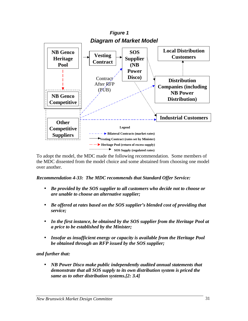

To adopt the model, the MDC made the following recommendation. Some members of the MDC dissented from the model choice and some abstained from choosing one model over another.

# *Recommendation 4-33: The MDC recommends that Standard Offer Service:*

- *Be provided by the SOS supplier to all customers who decide not to choose or are unable to choose an alternative supplier;*
- *Be offered at rates based on the SOS supplier's blended cost of providing that service;*
- *In the first instance, be obtained by the SOS supplier from the Heritage Pool at a price to be established by the Minister;*
- *Insofar as insufficient energy or capacity is available from the Heritage Pool be obtained through an RFP issued by the SOS supplier;*

# *and further that:*

• *NB Power Disco make public independently audited annual statements that demonstrate that all SOS supply to its own distribution system is priced the same as to other distribution systems.[2: 3.4]*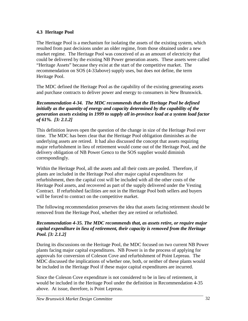# **4.3 Heritage Pool**

The Heritage Pool is a mechanism for isolating the assets of the existing system, which resulted from past decisions under an older regime, from those obtained under a new market regime. The Heritage Pool was conceived of as an amount of electricity that could be delivered by the existing NB Power generation assets. These assets were called "Heritage Assets" because they exist at the start of the competitive market. The recommendation on SOS (4-33above) supply uses, but does not define, the term Heritage Pool.

The MDC defined the Heritage Pool as the capability of the existing generating assets and purchase contracts to deliver power and energy to consumers in New Brunswick.

### *Recommendation 4-34. The MDC recommends that the Heritage Pool be defined initially as the quantity of energy and capacity determined by the capability of the generation assets existing in 1999 to supply all in-province load at a system load factor of 61%. [3: 2.1.2]*

This definition leaves open the question of the change in size of the Heritage Pool over time. The MDC has been clear that the Heritage Pool obligation diminishes as the underlying assets are retired. It had also discussed the concept that assets requiring major refurbishment in lieu of retirement would come out of the Heritage Pool, and the delivery obligation of NB Power Genco to the SOS supplier would diminish correspondingly.

Within the Heritage Pool, all the assets and all their costs are pooled. Therefore, if plants are included in the Heritage Pool after major capital expenditures for refurbishment, then the capital cost will be included with all the other costs of the Heritage Pool assets, and recovered as part of the supply delivered under the Vesting Contract. If refurbished facilities are not in the Heritage Pool both sellers and buyers will be forced to contract on the competitive market.

The following recommendation preserves the idea that assets facing retirement should be removed from the Heritage Pool, whether they are retired or refurbished.

### *Recommendation 4-35. The MDC recommends that, as assets retire, or require major capital expenditure in lieu of retirement, their capacity is removed from the Heritage Pool. [3: 2.1.2]*

During its discussions on the Heritage Pool, the MDC focused on two current NB Power plants facing major capital expenditures. NB Power is in the process of applying for approvals for conversion of Coleson Cove and refurbishment of Point Lepreau. The MDC discussed the implications of whether one, both, or neither of these plants would be included in the Heritage Pool if these major capital expenditures are incurred.

Since the Coleson Cove expenditure is not considered to be in lieu of retirement, it would be included in the Heritage Pool under the definition in Recommendation 4-35 above. At issue, therefore, is Point Lepreau.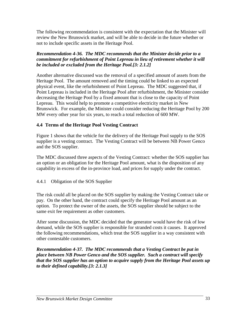The following recommendation is consistent with the expectation that the Minister will review the New Brunswick market, and will be able to decide in the future whether or not to include specific assets in the Heritage Pool.

# *Recommendation 4-36. The MDC recommends that the Minister decide prior to a commitment for refurbishment of Point Lepreau in lieu of retirement whether it will be included or excluded from the Heritage Pool.[3: 2.1.2]*

Another alternative discussed was the removal of a specified amount of assets from the Heritage Pool. The amount removed and the timing could be linked to an expected physical event, like the refurbishment of Point Lepreau. The MDC suggested that, if Point Lepreau is included in the Heritage Pool after refurbishment, the Minister consider decreasing the Heritage Pool by a fixed amount that is close to the capacity of Point Lepreau. This would help to promote a competitive electricity market in New Brunswick. For example, the Minister could consider reducing the Heritage Pool by 200 MW every other year for six years, to reach a total reduction of 600 MW.

# **4.4 Terms of the Heritage Pool Vesting Contract**

Figure 1 shows that the vehicle for the delivery of the Heritage Pool supply to the SOS supplier is a vesting contract. The Vesting Contract will be between NB Power Genco and the SOS supplier.

The MDC discussed three aspects of the Vesting Contract: whether the SOS supplier has an option or an obligation for the Heritage Pool amount, what is the disposition of any capability in excess of the in-province load, and prices for supply under the contract.

# 4.4.1 Obligation of the SOS Supplier

The risk could all be placed on the SOS supplier by making the Vesting Contract take or pay. On the other hand, the contract could specify the Heritage Pool amount as an option. To protect the owner of the assets, the SOS supplier should be subject to the same exit fee requirement as other customers.

After some discussion, the MDC decided that the generator would have the risk of low demand, while the SOS supplier is responsible for stranded costs it causes. It approved the following recommendations, which treat the SOS supplier in a way consistent with other contestable customers.

*Recommendation 4-37. The MDC recommends that a Vesting Contract be put in place between NB Power Genco and the SOS supplier. Such a contract will specify that the SOS supplier has an option to acquire supply from the Heritage Pool assets up to their defined capability.[3: 2.1.3]*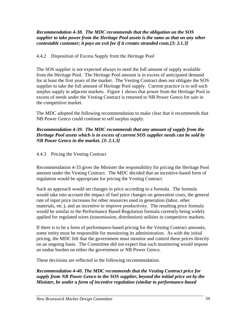### *Recommendation 4-38. The MDC recommends that the obligation on the SOS supplier to take power from the Heritage Pool assets is the same as that on any other contestable customer; it pays an exit fee if it creates stranded costs.[3: 2.1.3]*

# 4.4.2 Disposition of Excess Supply from the Heritage Pool

The SOS supplier is not expected always to need the full amount of supply available from the Heritage Pool. The Heritage Pool amount is in excess of anticipated demand for at least the first years of the market. The Vesting Contract does not obligate the SOS supplier to take the full amount of Heritage Pool supply. Current practice is to sell such surplus supply in adjacent markets. Figure 1 shows that power from the Heritage Pool in excess of needs under the Vesting Contract is returned to NB Power Genco for sale in the competitive market.

The MDC adopted the following recommendation to make clear that it recommends that NB Power Genco could continue to sell surplus supply.

# *Recommendation 4-39. The MDC recommends that any amount of supply from the Heritage Pool assets which is in excess of current SOS supplier needs can be sold by NB Power Genco in the market. [3: 2.1.3]*

# 4.4.3 Pricing the Vesting Contract

Recommendation 4-33 gives the Minister the responsibility for pricing the Heritage Pool amount under the Vesting Contract. The MDC decided that an incentive-based form of regulation would be appropriate for pricing the Vesting Contract.

Such an approach would set changes in price according to a formula. The formula would take into account the impact of fuel price changes on generation costs, the general rate of input price increases for other resources used in generation (labor, other materials, etc.), and an incentive to improve productivity. The resulting price formula would be similar to the Performance Based Regulation formula currently being widely applied for regulated wires (transmission, distribution) utilities in competitive markets.

If there is to be a form of performance-based pricing for the Vesting Contract amounts, some entity must be responsible for monitoring its administration. As with the initial pricing, the MDC felt that the government must monitor and control these prices directly on an ongoing basis. The Committee did not expect that such monitoring would impose an undue burden on either the government or NB Power Genco.

These decisions are reflected in the following recommendation.

*Recommendation 4-40. The MDC recommends that the Vesting Contract price for supply from NB Power Genco to the SOS supplier, beyond the initial price set by the Minister, be under a form of incentive regulation (similar to performance-based*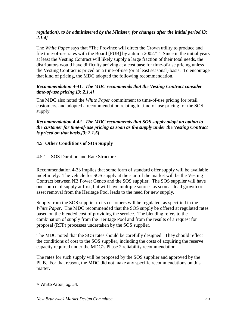# *regulation), to be administered by the Minister, for changes after the initial period.[3: 2.1.4]*

The *White Paper* says that "The Province will direct the Crown utility to produce and file time-of-use rates with the Board [PUB] by autumn 2002."<sup>12</sup> Since in the initial years at least the Vesting Contract will likely supply a large fraction of their total needs, the distributors would have difficulty arriving at a cost base for time-of-use pricing unless the Vesting Contract is priced on a time-of-use (or at least seasonal) basis. To encourage that kind of pricing, the MDC adopted the following recommendation.

# *Recommendation 4-41. The MDC recommends that the Vesting Contract consider time-of-use pricing.[3: 2.1.4]*

The MDC also noted the *White Paper* commitment to time-of-use pricing for retail customers, and adopted a recommendation relating to time-of-use pricing for the SOS supply.

*Recommendation 4-42. The MDC recommends that SOS supply adopt an option to the customer for time-of-use pricing as soon as the supply under the Vesting Contract is priced on that basis.[3: 2.1.5]* 

# **4.5 Other Conditions of SOS Supply**

# 4.5.1 SOS Duration and Rate Structure

Recommendation 4-33 implies that some form of standard offer supply will be available indefinitely. The vehicle for SOS supply at the start of the market will be the Vesting Contract between NB Power Genco and the SOS supplier. The SOS supplier will have one source of supply at first, but will have multiple sources as soon as load growth or asset removal from the Heritage Pool leads to the need for new supply.

Supply from the SOS supplier to its customers will be regulated, as specified in the *White Paper*. The MDC recommended that the SOS supply be offered at regulated rates based on the blended cost of providing the service. The blending refers to the combination of supply from the Heritage Pool and from the results of a request for proposal (RFP) processes undertaken by the SOS supplier.

The MDC noted that the SOS rates should be carefully designed. They should reflect the conditions of cost to the SOS supplier, including the costs of acquiring the reserve capacity required under the MDC's Phase 2 reliability recommendation.

The rates for such supply will be proposed by the SOS supplier and approved by the PUB. For that reason, the MDC did not make any specific recommendations on this matter.

<sup>12</sup> *White Paper*, pg. 54.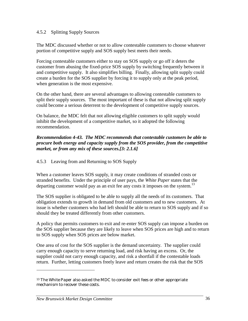### 4.5.2 Splitting Supply Sources

The MDC discussed whether or not to allow contestable customers to choose whatever portion of competitive supply and SOS supply best meets their needs.

Forcing contestable customers either to stay on SOS supply or go off it deters the customer from abusing the fixed-price SOS supply by switching frequently between it and competitive supply. It also simplifies billing. Finally, allowing split supply could create a burden for the SOS supplier by forcing it to supply only at the peak period, when generation is the most expensive.

On the other hand, there are several advantages to allowing contestable customers to split their supply sources. The most important of these is that not allowing split supply could become a serious deterrent to the development of competitive supply sources.

On balance, the MDC felt that not allowing eligible customers to split supply would inhibit the development of a competitive market, so it adopted the following recommendation.

### *Recommendation 4-43. The MDC recommends that contestable customers be able to procure both energy and capacity supply from the SOS provider, from the competitive market, or from any mix of these sources.[3: 2.1.6]*

# 4.5.3 Leaving from and Returning to SOS Supply

When a customer leaves SOS supply, it may create conditions of stranded costs or stranded benefits. Under the principle of user pays, the *White Paper* states that the departing customer would pay as an exit fee any costs it imposes on the system.<sup>13</sup>

The SOS supplier is obligated to be able to supply all the needs of its customers. That obligation extends to growth in demand from old customers and to new customers. At issue is whether customers who had left should be able to return to SOS supply and if so should they be treated differently from other customers.

A policy that permits customers to exit and re-enter SOS supply can impose a burden on the SOS supplier because they are likely to leave when SOS prices are high and to return to SOS supply when SOS prices are below market.

One area of cost for the SOS supplier is the demand uncertainty. The supplier could carry enough capacity to serve returning load, and risk having an excess. Or, the supplier could not carry enough capacity, and risk a shortfall if the contestable loads return. Further, letting customers freely leave and return creates the risk that the SOS

<sup>13</sup> The *White Paper* also asked the MDC to consider exit fees or other appropriate mechanism to recover these costs.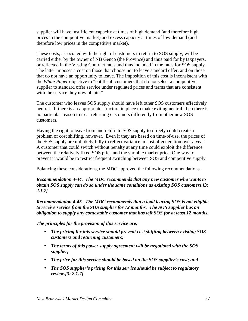supplier will have insufficient capacity at times of high demand (and therefore high prices in the competitive market) and excess capacity at times of low demand (and therefore low prices in the competitive market).

These costs, associated with the right of customers to return to SOS supply, will be carried either by the owner of NB Genco (the Province) and thus paid for by taxpayers, or reflected in the Vesting Contract rates and thus included in the rates for SOS supply. The latter imposes a cost on those that choose not to leave standard offer, and on those that do not have an opportunity to leave. The imposition of this cost is inconsistent with the *White Paper* objective to "entitle all customers that do not select a competitive supplier to standard offer service under regulated prices and terms that are consistent with the service they now obtain."

The customer who leaves SOS supply should have left other SOS customers effectively neutral. If there is an appropriate structure in place to make exiting neutral, then there is no particular reason to treat returning customers differently from other new SOS customers.

Having the right to leave from and return to SOS supply too freely could create a problem of cost shifting, however. Even if they are based on time-of-use, the prices of the SOS supply are not likely fully to reflect variance in cost of generation over a year. A customer that could switch without penalty at any time could exploit the difference between the relatively fixed SOS price and the variable market price. One way to prevent it would be to restrict frequent switching between SOS and competitive supply.

Balancing these considerations, the MDC approved the following recommendations.

*Recommendation 4-44. The MDC recommends that any new customer who wants to obtain SOS supply can do so under the same conditions as existing SOS customers.[3: 2.1.7]* 

*Recommendation 4-45. The MDC recommends that a load leaving SOS is not eligible to receive service from the SOS supplier for 12 months. The SOS supplier has an obligation to supply any contestable customer that has left SOS for at least 12 months.* 

*The principles for the provision of this service are:* 

- *The pricing for this service should prevent cost shifting between existing SOS customers and returning customers;*
- *The terms of this power supply agreement will be negotiated with the SOS supplier;*
- *The price for this service should be based on the SOS supplier's cost; and*
- *The SOS supplier's pricing for this service should be subject to regulatory review.[3: 2.1.7]*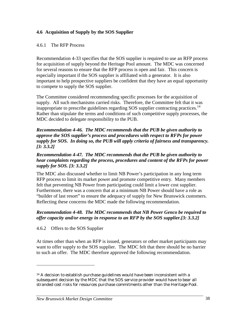# **4.6 Acquisition of Supply by the SOS Supplier**

#### 4.6.1 The RFP Process

Recommendation 4-33 specifies that the SOS supplier is required to use an RFP process for acquisition of supply beyond the Heritage Pool amount. The MDC was concerned for several reasons to ensure that the RFP process is open and fair. This concern is especially important if the SOS supplier is affiliated with a generator. It is also important to help prospective suppliers be confident that they have an equal opportunity to compete to supply the SOS supplier.

The Committee considered recommending specific processes for the acquisition of supply. All such mechanisms carried risks. Therefore, the Committee felt that it was inappropriate to prescribe guidelines regarding  $SOS$  supplier contracting practices.<sup>14</sup> Rather than stipulate the terms and conditions of such competitive supply processes, the MDC decided to delegate responsibility to the PUB.

#### *Recommendation 4-46. The MDC recommends that the PUB be given authority to approve the SOS supplier's process and procedures with respect to RFPs for power supply for SOS. In doing so, the PUB will apply criteria of fairness and transparency. [3: 3.3.2]*

### *Recommendation 4-47. The MDC recommends that the PUB be given authority to hear complaints regarding the process, procedures and content of the RFPs for power supply for SOS. [3: 3.3.2]*

The MDC also discussed whether to limit NB Power's participation in any long term RFP process to limit its market power and promote competitive entry. Many members felt that preventing NB Power from participating could limit a lower cost supplier. Furthermore, there was a concern that at a minimum NB Power should have a role as "builder of last resort" to ensure the adequacy of supply for New Brunswick customers. Reflecting these concerns the MDC made the following recommendation.

#### *Recommendation 4-48. The MDC recommends that NB Power Genco be required to offer capacity and/or energy in response to an RFP by the SOS supplier.[3: 3.3.2]*

4.6.2 Offers to the SOS Supplier

l

At times other than when an RFP is issued, generators or other market participants may want to offer supply to the SOS supplier. The MDC felt that there should be no barrier to such an offer. The MDC therefore approved the following recommendation.

<sup>&</sup>lt;sup>14</sup> A decision to establish purchase guidelines would have been inconsistent with a subsequent decision by the MDC that the SOS service provider would have to bear all stranded cost risks for resources purchase commitments other than the Heritage Pool.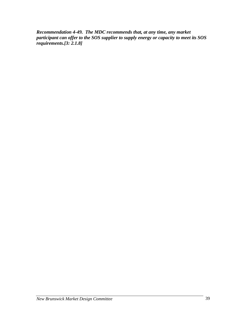*Recommendation 4-49. The MDC recommends that, at any time, any market participant can offer to the SOS supplier to supply energy or capacity to meet its SOS requirements.[3: 2.1.8]*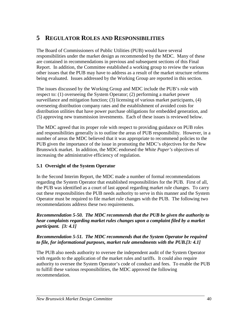# **5 REGULATOR ROLES AND RESPONSIBILITIES**

The Board of Commissioners of Public Utilities (PUB) would have several responsibilities under the market design as recommended by the MDC. Many of these are contained in recommendations in previous and subsequent sections of this Final Report. In addition, the Committee established a working group to review the various other issues that the PUB may have to address as a result of the market structure reforms being evaluated. Issues addressed by the Working Group are reported in this section.

The issues discussed by the Working Group and MDC include the PUB's role with respect to: (1) overseeing the System Operator; (2) performing a market power surveillance and mitigation function; (3) licensing of various market participants, (4) overseeing distribution company rates and the establishment of avoided costs for distribution utilities that have power purchase obligations for embedded generation, and (5) approving new transmission investments. Each of these issues is reviewed below.

The MDC agreed that its proper role with respect to providing guidance on PUB roles and responsibilities generally is to outline the areas of PUB responsibility. However, in a number of areas the MDC believed that it was appropriate to recommend policies to the PUB given the importance of the issue in promoting the MDC's objectives for the New Brunswick market. In addition, the MDC endorsed the *White Paper's* objectives of increasing the administrative efficiency of regulation.

# **5.1 Oversight of the System Operator**

In the Second Interim Report, the MDC made a number of formal recommendations regarding the System Operator that established responsibilities for the PUB. First of all, the PUB was identified as a court of last appeal regarding market rule changes. To carry out these responsibilities the PUB needs authority to serve in this manner and the System Operator must be required to file market rule changes with the PUB. The following two recommendations address these two requirements.

### *Recommendation 5-50. The MDC recommends that the PUB be given the authority to hear complaints regarding market rules changes upon a complaint filed by a market participant. [3: 4.1]*

# *Recommendation 5-51. The MDC recommends that the System Operator be required to file, for informational purposes, market rule amendments with the PUB.[3: 4.1]*

The PUB also needs authority to oversee the independent audit of the System Operator with regards to the application of the market rules and tariffs. It could also require authority to oversee the System Operator's code of conduct and fees. To enable the PUB to fulfill these various responsibilities, the MDC approved the following recommendation.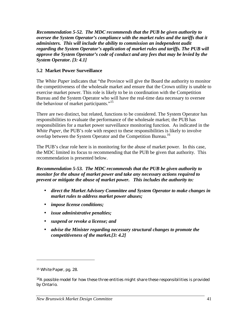*Recommendation 5-52. The MDC recommends that the PUB be given authority to oversee the System Operator's compliance with the market rules and the tariffs that it administers. This will include the ability to commission an independent audit regarding the System Operator's application of market rules and tariffs. The PUB will approve the System Operator's code of conduct and any fees that may be levied by the System Operator. [3: 4.1]* 

# **5.2 Market Power Surveillance**

The *White Paper* indicates that "the Province will give the Board the authority to monitor the competitiveness of the wholesale market and ensure that the Crown utility is unable to exercise market power. This role is likely to be in coordination with the Competition Bureau and the System Operator who will have the real-time data necessary to oversee the behaviour of market participants."<sup>15</sup>

There are two distinct, but related, functions to be considered. The System Operator has responsibilities to evaluate the performance of the wholesale market; the PUB has responsibilities for a market power surveillance monitoring function. As indicated in the *White Paper*, the PUB's role with respect to these responsibilities is likely to involve overlap between the System Operator and the Competition Bureau.<sup>16</sup>

The PUB's clear role here is in monitoring for the abuse of market power. In this case, the MDC limited its focus to recommending that the PUB be given that authority. This recommendation is presented below.

*Recommendation 5-53. The MDC recommends that the PUB be given authority to monitor for the abuse of market power and take any necessary actions required to prevent or mitigate the abuse of market power. This includes the authority to:* 

- *direct the Market Advisory Committee and System Operator to make changes in market rules to address market power abuses;*
- *impose license conditions;*
- *issue administrative penalties;*
- *suspend or revoke a license; and*
- *advise the Minister regarding necessary structural changes to promote the competitiveness of the market.[3: 4.2]*

<sup>15</sup> *White Paper*, pg*.* 28.

 $16A$  possible model for how these three entities might share these responsibilities is provided by Ontario.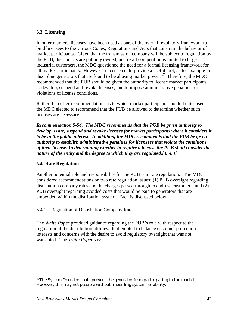# **5.3 Licensing**

In other markets, licenses have been used as part of the overall regulatory framework to bind licensees to the various Codes, Regulations and Acts that constrain the behavior of market participants. Given that the transmission company will be subject to regulation by the PUB; distributors are publicly owned; and retail competition is limited to large industrial customers, the MDC questioned the need for a formal licensing framework for all market participants. However, a license could provide a useful tool, as for example to discipline generators that are found to be abusing market power.<sup>17</sup> Therefore, the MDC recommended that the PUB should be given the authority to license market participants, to develop, suspend and revoke licenses, and to impose administrative penalties for violations of license conditions.

Rather than offer recommendations as to which market participants should be licensed, the MDC elected to recommend that the PUB be allowed to determine whether such licenses are necessary.

*Recommendation 5-54. The MDC recommends that the PUB be given authority to develop, issue, suspend and revoke licenses for market participants where it considers it to be in the public interest. In addition, the MDC recommends that the PUB be given authority to establish administrative penalties for licensees that violate the conditions of their license. In determining whether to require a license the PUB shall consider the nature of the entity and the degree to which they are regulated.[3: 4.3]* 

# **5.4 Rate Regulation**

l

Another potential role and responsibility for the PUB is in rate regulation. The MDC considered recommendations on two rate regulation issues: (1) PUB oversight regarding distribution company rates and the charges passed through to end-use customers; and (2) PUB oversight regarding avoided costs that would be paid to generators that are embedded within the distribution system. Each is discussed below.

# 5.4.1 Regulation of Distribution Company Rates

The *White Paper* provided guidance regarding the PUB's role with respect to the regulation of the distribution utilities. It attempted to balance customer protection interests and concerns with the desire to avoid regulatory oversight that was not warranted. The *White Paper* says:

<sup>&</sup>lt;sup>17</sup>The System Operator could prevent the generator from participating in the market. However, this may not possible without imperiling system reliability.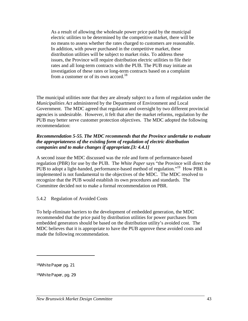As a result of allowing the wholesale power price paid by the municipal electric utilities to be determined by the competitive market, there will be no means to assess whether the rates charged to customers are reasonable. In addition, with power purchased in the competitive market, these distribution utilities will be subject to market risks. To address these issues, the Province will require distribution electric utilities to file their rates and all long-term contracts with the PUB. The PUB may initiate an investigation of these rates or long-term contracts based on a complaint from a customer or of its own accord.<sup>18</sup>

The municipal utilities note that they are already subject to a form of regulation under the *Municipalities Act* administered by the Department of Environment and Local Government. The MDC agreed that regulation and oversight by two different provincial agencies is undesirable. However, it felt that after the market reforms, regulation by the PUB may better serve customer protection objectives. The MDC adopted the following recommendation:

### *Recommendation 5-55. The MDC recommends that the Province undertake to evaluate the appropriateness of the existing form of regulation of electric distribution companies and to make changes if appropriate.[3: 4.4.1]*

A second issue the MDC discussed was the role and form of performance-based regulation (PBR) for use by the PUB. The *White Paper* says "the Province will direct the PUB to adopt a light-handed, performance-based method of regulation."<sup>19</sup> How PBR is implemented is not fundamental to the objectives of the MDC. The MDC resolved to recognize that the PUB would establish its own procedures and standards. The Committee decided not to make a formal recommendation on PBR.

# 5.4.2 Regulation of Avoided Costs

To help eliminate barriers to the development of embedded generation, the MDC recommended that the price paid by distribution utilities for power purchases from embedded generators should be based on the distribution utility's avoided cost. The MDC believes that it is appropriate to have the PUB approve these avoided costs and made the following recommendation.

<sup>18</sup>*White Paper* pg*.* 21

<sup>19</sup>*White Paper,* pg*. 29*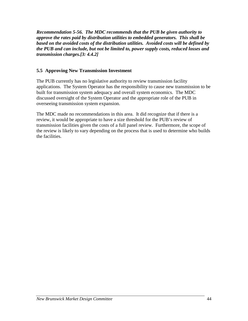*Recommendation 5-56. The MDC recommends that the PUB be given authority to approve the rates paid by distribution utilities to embedded generators. This shall be based on the avoided costs of the distribution utilities. Avoided costs will be defined by the PUB and can include, but not be limited to, power supply costs, reduced losses and transmission charges.[3: 4.4.2]* 

# **5.5 Approving New Transmission Investment**

The PUB currently has no legislative authority to review transmission facility applications. The System Operator has the responsibility to cause new transmission to be built for transmission system adequacy and overall system economics. The MDC discussed oversight of the System Operator and the appropriate role of the PUB in overseeing transmission system expansion.

The MDC made no recommendations in this area. It did recognize that if there is a review, it would be appropriate to have a size threshold for the PUB's review of transmission facilities given the costs of a full panel review. Furthermore, the scope of the review is likely to vary depending on the process that is used to determine who builds the facilities.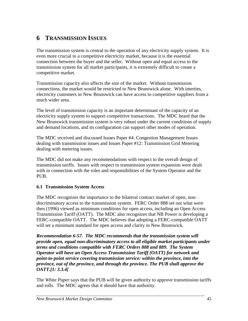# **6 TRANSMISSION ISSUES**

The transmission system is central to the operation of any electricity supply system. It is even more crucial to a competitive electricity market, because it is the essential connection between the buyer and the seller. Without open and equal access to the transmission system for all market participants, it is extremely difficult to create a competitive market.

Transmission capacity also affects the size of the market. Without transmission connections, the market would be restricted to New Brunswick alone. With interties, electricity customers in New Brunswick can have access to competitive suppliers from a much wider area.

The level of transmission capacity is an important determinant of the capacity of an electricity supply system to support competitive transactions. The MDC heard that the New Brunswick transmission system is very robust under the current conditions of supply and demand locations, and its configuration can support other modes of operation.

The MDC received and discussed Issues Paper #4: Congestion Management Issues dealing with transmission issues and Issues Paper #12: Transmission Grid Metering dealing with metering issues.

The MDC did not make any recommendations with respect to the overall design of transmission tariffs. Issues with respect to transmission system expansion were dealt with in connection with the roles and responsibilities of the System Operator and the PUB.

# **6.1 Transmission System Access**

The MDC recognizes the importance to the bilateral contract market of open, nondiscriminatory access to the transmission system. FERC Order 888 set out what were then (1996) viewed as minimum conditions for open access, including an Open Access Transmission Tariff (OATT). The MDC also recognizes that NB Power is developing a FERC-compatible OATT. The MDC believes that adopting a FERC-compatible OATT will set a minimum standard for open access and clarity in New Brunswick.

*Recommendation 6-57. The MDC recommends that the transmission system will provide open, equal non-discriminatory access to all eligible market participants under terms and conditions compatible with FERC Orders 888 and 889. The System Operator will have an Open Access Transmission Tariff (OATT) for network and point-to-point service covering transmission service: within the province, into the province, out of the province, and through the province. The PUB shall approve the OATT.[1: 3.3.4]* 

The *White Paper* says that the PUB will be given authority to approve transmission tariffs and tolls. The MDC agrees that it should have that authority.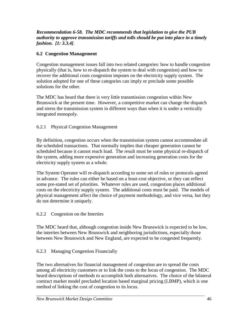### *Recommendation 6-58. The MDC recommends that legislation to give the PUB authority to approve transmission tariffs and tolls should be put into place in a timely fashion. [1: 3.3.4]*.

# **6.2 Congestion Management**

Congestion management issues fall into two related categories: how to handle congestion physically (that is, how to re-dispatch the system to deal with congestion) and how to recover the additional costs congestion imposes on the electricity supply system. The solution adopted for one of these categories can imply or preclude some possible solutions for the other.

The MDC has heard that there is very little transmission congestion within New Brunswick at the present time. However, a competitive market can change the dispatch and stress the transmission system in different ways than when it is under a vertically integrated monopoly.

# 6.2.1 Physical Congestion Management

By definition, congestion occurs when the transmission system cannot accommodate all the scheduled transactions. That normally implies that cheaper generation cannot be scheduled because it cannot reach load. The result must be some physical re-dispatch of the system, adding more expensive generation and increasing generation costs for the electricity supply system as a whole.

The System Operator will re-dispatch according to some set of rules or protocols agreed in advance. The rules can either be based on a least-cost objective, or they can reflect some pre-stated set of priorities. Whatever rules are used, congestion places additional costs on the electricity supply system. The additional costs must be paid. The models of physical management affect the choice of payment methodology, and vice versa, but they do not determine it uniquely.

# 6.2.2 Congestion on the Interties

The MDC heard that, although congestion inside New Brunswick is expected to be low, the interties between New Brunswick and neighboring jurisdictions, especially those between New Brunswick and New England, are expected to be congested frequently.

# 6.2.3 Managing Congestion Financially

The two alternatives for financial management of congestion are to spread the costs among all electricity customers or to link the costs to the locus of congestion. The MDC heard descriptions of methods to accomplish both alternatives. The choice of the bilateral contract market model precluded location based marginal pricing (LBMP), which is one method of linking the cost of congestion to its locus.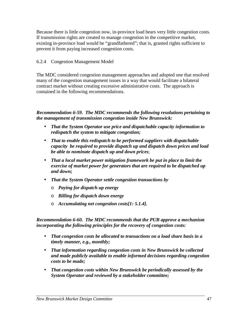Because there is little congestion now, in-province load bears very little congestion costs. If transmission rights are created to manage congestion in the competitive market, existing in-province load would be "grandfathered"; that is, granted rights sufficient to prevent it from paying increased congestion costs.

# 6.2.4 Congestion Management Model

The MDC considered congestion management approaches and adopted one that resolved many of the congestion management issues in a way that would facilitate a bilateral contract market without creating excessive administrative costs. The approach is contained in the following recommendations.

*Recommendation 6-59. The MDC recommends the following resolutions pertaining to the management of transmission congestion inside New Brunswick:* 

- *That the System Operator use price and dispatchable capacity information to redispatch the system to mitigate congestion;*
- *That to enable this redispatch to be performed suppliers with dispatchable capacity be required to provide dispatch up and dispatch down prices and load be able to nominate dispatch up and down prices*;
- *That a local market power mitigation framework be put in place to limit the exercise of market power for generators that are required to be dispatched up and down;*
- *That the System Operator settle congestion transactions by* 
	- o *Paying for dispatch up energy*
	- o *Billing for dispatch down energy*
	- o *Accumulating net congestion costs[1: 5.1.4].*

*Recommendation 6-60. The MDC recommends that the PUB approve a mechanism incorporating the following principles for the recovery of congestion costs:* 

- *That congestion costs be allocated to transactions on a load share basis in a timely manner, e.g., monthly;*
- *That information regarding congestion costs in New Brunswick be collected and made publicly available to enable informed decisions regarding congestion costs to be made;*
- *That congestion costs within New Brunswick be periodically assessed by the System Operator and reviewed by a stakeholder committee;*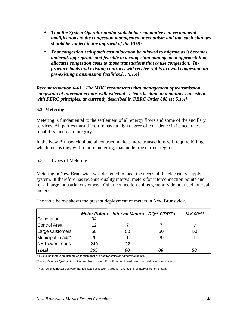- *That the System Operator and/or stakeholder committee can recommend modifications to the congestion management mechanism and that such changes should be subject to the approval of the PUB;*
- *That congestion redispatch cost allocation be allowed to migrate as it becomes material, appropriate and feasible to a congestion management approach that allocates congestion costs to those transactions that cause congestion. Inprovince loads and existing contracts will receive rights to avoid congestion on pre-existing transmission facilities.[1: 5.1.4]*

*Recommendation 6-61. The MDC recommends that management of transmission congestion at interconnections with external systems be done in a manner consistent with FERC principles, as currently described in FERC Order 888.[1: 5.1.4]*

# **6.3 Metering**

Metering is fundamental to the settlement of all energy flows and some of the ancillary services. All parties must therefore have a high degree of confidence in its accuracy, reliability, and data integrity.

In the New Brunswick bilateral contract market, more transactions will require billing, which means they will require metering, than under the current regime.

### 6.3.1 Types of Metering

Metering in New Brunswick was designed to meet the needs of the electricity supply system. It therefore has revenue-quality interval meters for interconnection points and for all large industrial customers. Other connection points generally do not need interval meters.

|                        | <b>Meter Points</b> | <b>Interval Meters RQ** CT/PTs</b> |    | $MV-90***$ |
|------------------------|---------------------|------------------------------------|----|------------|
| Generation             | 34                  |                                    |    |            |
| Control Area           | 12                  |                                    |    |            |
| Large Customers        | 50                  | 50                                 | 50 | 50         |
| Municipal Loads*       | 29                  |                                    | 29 |            |
| <b>INB Power Loads</b> | 240                 | 32                                 |    |            |
| <b>Total</b>           | 365                 | 90                                 | 86 | 58         |

The table below shows the present deployment of meters in New Brunswick.

\* Excluding meters on distribution feeders that are not transmission withdrawal points.

\*\* RQ = Revenue Quality. CT = Current Transformer. PT = Potential Transformer. Full definitions in Glossary.

\*\*\* MV-90 is computer software that facilitates collection, validation and editing of interval metering data.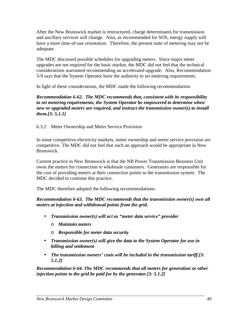After the New Brunswick market is restructured, charge determinants for transmission and ancillary services will change. Also, as recommended for SOS, energy supply will have a more time-of-use orientation. Therefore, the present state of metering may not be adequate.

The MDC discussed possible schedules for upgrading meters. Since major meter upgrades are not required for the basic market, the MDC did not feel that the technical considerations warranted recommending an accelerated upgrade. Also, Recommendation 3-9 says that the System Operator have the authority to set metering requirements.

In light of these considerations, the MDC made the following recommendation.

*Recommendation 6-62. The MDC recommends that, consistent with its responsibility to set metering requirements, the System Operator be empowered to determine when new or upgraded meters are required, and instruct the transmission owner(s) to install them.[3: 5.1.1]* 

6.3.2 Meter Ownership and Meter Service Provision

In some competitive electricity markets, meter ownership and meter service provision are competitive. The MDC did not feel that such an approach would be appropriate in New Brunswick.

Current practice in New Brunswick is that the NB Power Transmission Business Unit owns the meters for connection to wholesale customers. Generators are responsible for the cost of providing meters at their connection points to the transmission system. The MDC decided to continue this practice.

The MDC therefore adopted the following recommendations.

*Recommendation 6-63. The MDC recommends that the transmission owner(s) own all meters at injection and withdrawal points from the grid.* 

- *Transmission owner(s) will act as "meter data service" provider* 
	- o *Maintain meters*
	- o *Responsible for meter data security*
- *Transmission owner(s) will give the data to the System Operator for use in billing and settlement*
- *The transmission owners' costs will be included in the transmission tariff.[3: 5.1.2]*

*Recommendation 6-64. The MDC recommends that all meters for generation or other injection points to the grid be paid for by the generator.[3: 5.1.2]*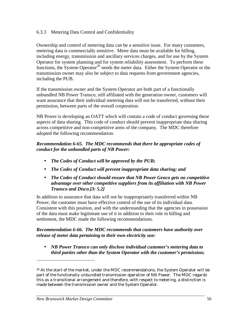### 6.3.3 Metering Data Control and Confidentiality

Ownership and control of metering data can be a sensitive issue. For many customers, metering data is commercially sensitive. Meter data must be available for billing, including energy, transmission and ancillary services charges, and for use by the System Operator for system planning and for system reliability assessment. To perform these functions, the System Operator<sup>20</sup> needs the meter data. Either the System Operator or the transmission owner may also be subject to data requests from government agencies, including the PUB.

If the transmission owner and the System Operator are both part of a functionally unbundled NB Power Transco, still affiliated with the generation owner, customers will want assurance that their individual metering data will not be transferred, without their permission, between parts of the overall corporation.

NB Power is developing an OATT which will contain a code of conduct governing these aspects of data sharing. This code of conduct should prevent inappropriate data sharing across competitive and non-competitive arms of the company. The MDC therefore adopted the following recommendation.

### *Recommendation 6-65. The MDC recommends that there be appropriate codes of conduct for the unbundled parts of NB Power:*

- *The Codes of Conduct will be approved by the PUB;*
- *The Codes of Conduct will prevent inappropriate data sharing; and*
- *The Codes of Conduct should ensure that NB Power Genco gets no competitive advantage over other competitive suppliers from its affiliation with NB Power Transco and Disco.[3: 5.2]*

In addition to assurance that data will not be inappropriately transferred within NB Power, the customer must have effective control of the use of its individual data. Consistent with this position, and with the understanding that the agencies in possession of the data must make legitimate use of it in addition to their role in billing and settlement, the MDC made the following recommendations.

#### *Recommendation 6-66. The MDC recommends that customers have authority over release of meter data pertaining to their own electricity use:*

• *NB Power Transco can only disclose individual customer's metering data to third parties other than the System Operator with the customer's permission;* 

<sup>&</sup>lt;sup>20</sup> At the start of the market, under the MDC recommendations, the System Operator will be part of the functionally unbundled transmission operation of NB Power. The MDC regards this as a transitional arrangement and therefore, with respect to metering, a distinction is made between the transmission owner and the System Operator.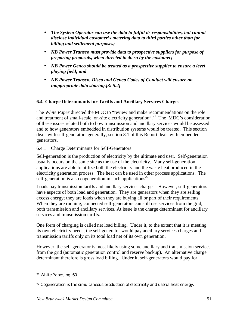- *The System Operator can use the data to fulfill its responsibilities, but cannot disclose individual customer's metering data to third parties other than for billing and settlement purposes;*
- *NB Power Transco must provide data to prospective suppliers for purpose of preparing proposals, when directed to do so by the customer;*
- *NB Power Genco should be treated as a prospective supplier to ensure a level playing field; and*
- *NB Power Transco, Disco and Genco Codes of Conduct will ensure no inappropriate data sharing.[3: 5.2]*

# **6.4 Charge Determinants for Tariffs and Ancillary Services Charges**

The *White Paper* directed the MDC to "review and make recommendations on the role and treatment of small-scale, on-site electricity generation".<sup>21</sup> The MDC's consideration of these issues related both to how transmission and ancillary services would be assessed and to how generators embedded in distribution systems would be treated. This section deals with self-generators generally; section 8.1 of this Report deals with embedded generators.

6.4.1 Charge Determinants for Self-Generators

Self-generation is the production of electricity by the ultimate end user. Self-generation usually occurs on the same site as the use of the electricity. Many self-generation applications are able to utilize both the electricity and the waste heat produced in the electricity generation process. The heat can be used in other process applications. The self-generation is also cogeneration in such applications<sup>22</sup>.

Loads pay transmission tariffs and ancillary services charges. However, self-generators have aspects of both load and generation. They are generators when they are selling excess energy; they are loads when they are buying all or part of their requirements. When they are running, connected self-generators can still use services from the grid, both transmission and ancillary services. At issue is the charge determinant for ancillary services and transmission tariffs.

One form of charging is called net load billing. Under it, to the extent that it is meeting its own electricity needs, the self-generator would pay ancillary services charges and transmission tariffs only on its total load net of its own generation.

However, the self-generator is most likely using some ancillary and transmission services from the grid (automatic generation control and reserve backup). An alternative charge determinant therefore is gross load billing. Under it, self-generators would pay for

<sup>21</sup> *White Paper*, pg. 60

<sup>22</sup> Cogeneration is the simultaneous production of electricity and useful heat energy.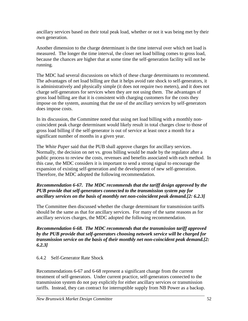ancillary services based on their total peak load, whether or not it was being met by their own generation.

Another dimension to the charge determinant is the time interval over which net load is measured. The longer the time interval, the closer net load billing comes to gross load, because the chances are higher that at some time the self-generation facility will not be running.

The MDC had several discussions on which of these charge determinants to recommend. The advantages of net load billing are that it helps avoid rate shock to self-generators, it is administratively and physically simple (it does not require two meters), and it does not charge self-generators for services when they are not using them. The advantages of gross load billing are that it is consistent with charging customers for the costs they impose on the system, assuming that the use of the ancillary services by self-generators does impose costs.

In its discussion, the Committee noted that using net load billing with a monthly noncoincident peak charge determinant would likely result in total charges close to those of gross load billing if the self-generator is out of service at least once a month for a significant number of months in a given year.

The *White Paper* said that the PUB shall approve charges for ancillary services. Normally, the decision on net vs. gross billing would be made by the regulator after a public process to review the costs, revenues and benefits associated with each method. In this case, the MDC considers it is important to send a strong signal to encourage the expansion of existing self-generation and the development of new self-generation. Therefore, the MDC adopted the following recommendation.

# *Recommendation 6-67. The MDC recommends that the tariff design approved by the PUB provide that self-generators connected to the transmission system pay for ancillary services on the basis of monthly net non-coincident peak demand.[2: 6.2.3]*

The Committee then discussed whether the charge determinant for transmission tariffs should be the same as that for ancillary services. For many of the same reasons as for ancillary services charges, the MDC adopted the following recommendation.

*Recommendation 6-68. The MDC recommends that the transmission tariff approved by the PUB provide that self-generators choosing network service will be charged for transmission service on the basis of their monthly net non-coincident peak demand.[2: 6.2.3]* 

# 6.4.2 Self-Generator Rate Shock

Recommendations 6-67 and 6-68 represent a significant change from the current treatment of self-generators. Under current practice, self-generators connected to the transmission system do not pay explicitly for either ancillary services or transmission tariffs. Instead, they can contract for interruptible supply from NB Power as a backup.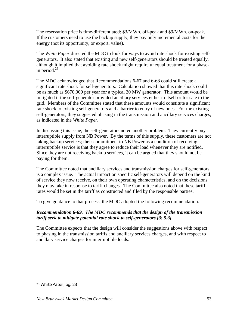The reservation price is time-differentiated: \$3/MWh. off-peak and \$9/MWh. on-peak. If the customers need to use the backup supply, they pay only incremental costs for the energy (not its opportunity, or export, value).

The *White Paper* directed the MDC to look for ways to avoid rate shock for existing selfgenerators. It also stated that existing and new self-generators should be treated equally, although it implied that avoiding rate shock might require unequal treatment for a phasein period. $^{23}$ 

The MDC acknowledged that Recommendations 6-67 and 6-68 could still create a significant rate shock for self-generators. Calculation showed that this rate shock could be as much as \$670,000 per year for a typical 20 MW generator. This amount would be mitigated if the self-generator provided ancillary services either to itself or for sale to the grid. Members of the Committee stated that these amounts would constitute a significant rate shock to existing self-generators and a barrier to entry of new ones. For the existing self-generators, they suggested phasing in the transmission and ancillary services charges, as indicated in the *White Paper.*

In discussing this issue, the self-generators noted another problem. They currently buy interruptible supply from NB Power. By the terms of this supply, these customers are not taking backup services; their commitment to NB Power as a condition of receiving interruptible service is that they agree to reduce their load whenever they are notified. Since they are not receiving backup services, it can be argued that they should not be paying for them.

The Committee noted that ancillary services and transmission charges for self-generators is a complex issue. The actual impact on specific self-generators will depend on the kind of service they now receive, on their own operating characteristics, and on the decisions they may take in response to tariff changes. The Committee also noted that these tariff rates would be set in the tariff as constructed and filed by the responsible parties.

To give guidance to that process, the MDC adopted the following recommendation.

# *Recommendation 6-69. The MDC recommends that the design of the transmission tariff seek to mitigate potential rate shock to self-generators.[3: 5.3]*

The Committee expects that the design will consider the suggestions above with respect to phasing in the transmission tariffs and ancillary services charges, and with respect to ancillary service charges for interruptible loads.

<sup>23</sup> *White Paper*, pg. 23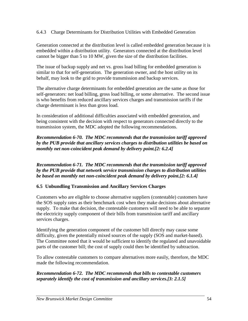6.4.3 Charge Determinants for Distribution Utilities with Embedded Generation

Generation connected at the distribution level is called embedded generation because it is embedded within a distribution utility. Generators connected at the distribution level cannot be bigger than 5 to 10 MW, given the size of the distribution facilities.

The issue of backup supply and net vs. gross load billing for embedded generation is similar to that for self-generation. The generation owner, and the host utility on its behalf, may look to the grid to provide transmission and backup services.

The alternative charge determinants for embedded generation are the same as those for self-generators: net load billing, gross load billing, or some alternative. The second issue is who benefits from reduced ancillary services charges and transmission tariffs if the charge determinant is less than gross load.

In consideration of additional difficulties associated with embedded generation, and being consistent with the decision with respect to generators connected directly to the transmission system, the MDC adopted the following recommendations.

# *Recommendation 6-70. The MDC recommends that the transmission tariff approved by the PUB provide that ancillary services charges to distribution utilities be based on monthly net non-coincident peak demand by delivery point.[2: 6.2.4]*

*Recommendation 6-71. The MDC recommends that the transmission tariff approved by the PUB provide that network service transmission charges to distribution utilities be based on monthly net non-coincident peak demand by delivery point.[2: 6.1.4]* 

# **6.5 Unbundling Transmission and Ancillary Services Charges**

Customers who are eligible to choose alternative suppliers (contestable) customers have the SOS supply rates as their benchmark cost when they make decisions about alternative supply. To make that decision, the contestable customers will need to be able to separate the electricity supply component of their bills from transmission tariff and ancillary services charges.

Identifying the generation component of the customer bill directly may cause some difficulty, given the potentially mixed sources of the supply (SOS and market-based). The Committee noted that it would be sufficient to identify the regulated and unavoidable parts of the customer bill; the cost of supply could then be identified by subtraction.

To allow contestable customers to compare alternatives more easily, therefore, the MDC made the following recommendation.

# *Recommendation 6-72. The MDC recommends that bills to contestable customers separately identify the cost of transmission and ancillary services.[3: 2.1.5]*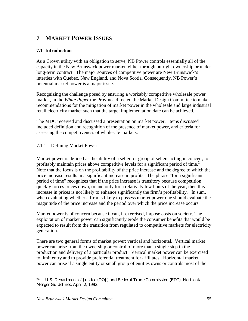# **7 MARKET POWER ISSUES**

# **7.1 Introduction**

As a Crown utility with an obligation to serve, NB Power controls essentially all of the capacity in the New Brunswick power market, either through outright ownership or under long-term contract. The major sources of competitive power are New Brunswick's interties with Quebec, New England, and Nova Scotia. Consequently, NB Power's potential market power is a major issue.

Recognizing the challenge posed by ensuring a workably competitive wholesale power market, in the *White Paper* the Province directed the Market Design Committee to make recommendations for the mitigation of market power in the wholesale and large industrial retail electricity market such that the target implementation date can be achieved.

The MDC received and discussed a presentation on market power. Items discussed included definition and recognition of the presence of market power, and criteria for assessing the competitiveness of wholesale markets.

# 7.1.1 Defining Market Power

Market power is defined as the ability of a seller, or group of sellers acting in concert, to profitably maintain prices above competitive levels for a significant period of time.<sup>24</sup> Note that the focus is on the profitability of the price increase and the degree to which the price increase results in a significant increase in profits. The phrase "for a significant period of time" recognizes that if the price increase is transitory because competition quickly forces prices down, or and only for a relatively few hours of the year, then this increase in prices is not likely to enhance significantly the firm's profitability. In sum, when evaluating whether a firm is likely to possess market power one should evaluate the magnitude of the price increase and the period over which the price increase occurs.

Market power is of concern because it can, if exercised, impose costs on society. The exploitation of market power can significantly erode the consumer benefits that would be expected to result from the transition from regulated to competitive markets for electricity generation.

There are two general forms of market power: vertical and horizontal. Vertical market power can arise from the ownership or control of more than a single step in the production and delivery of a particular product. Vertical market power can be exercised to limit entry and to provide preferential treatment for affiliates. Horizontal market power can arise if a single entity or small group of entities owns or controls most of the

<sup>24</sup> U.S. Department of Justice (DOJ) and Federal Trade Commission (FTC), *Horizontal Merger Guidelines*, April 2, 1992.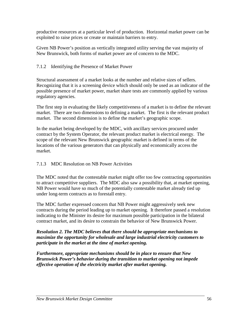productive resources at a particular level of production. Horizontal market power can be exploited to raise prices or create or maintain barriers to entry.

Given NB Power's position as vertically integrated utility serving the vast majority of New Brunswick, both forms of market power are of concern to the MDC.

# 7.1.2 Identifying the Presence of Market Power

Structural assessment of a market looks at the number and relative sizes of sellers. Recognizing that it is a screening device which should only be used as an indicator of the possible presence of market power, market share tests are commonly applied by various regulatory agencies.

The first step in evaluating the likely competitiveness of a market is to define the relevant market. There are two dimensions to defining a market. The first is the relevant product market. The second dimension is to define the market's geographic scope.

In the market being developed by the MDC, with ancillary services procured under contract by the System Operator, the relevant product market is electrical energy. The scope of the relevant New Brunswick geographic market is defined in terms of the locations of the various generators that can physically and economically access the market.

# 7.1.3 MDC Resolution on NB Power Activities

The MDC noted that the contestable market might offer too few contracting opportunities to attract competitive suppliers. The MDC also saw a possibility that, at market opening, NB Power would have so much of the potentially contestable market already tied up under long-term contracts as to forestall entry.

The MDC further expressed concern that NB Power might aggressively seek new contracts during the period leading up to market opening. It therefore passed a resolution indicating to the Minister its desire for maximum possible participation in the bilateral contract market, and its desire to constrain the behavior of New Brunswick Power.

### *Resolution 2. The MDC believes that there should be appropriate mechanisms to maximize the opportunity for wholesale and large industrial electricity customers to participate in the market at the time of market opening.*

*Furthermore, appropriate mechanisms should be in place to ensure that New Brunswick Power's behavior during the transition to market opening not impede effective operation of the electricity market after market opening.*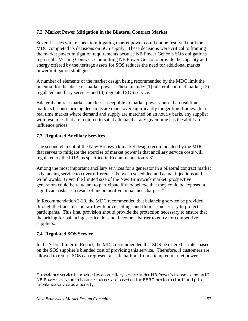# **7.2 Market Power Mitigation in the Bilateral Contract Market**

Several issues with respect to mitigating market power could not be resolved until the MDC completed its decisions on SOS supply. These decisions were critical to framing the market power mitigation requirements because NB Power Genco's SOS obligations represent a Vesting Contract. Committing NB Power Genco to provide the capacity and energy offered by the heritage assets for SOS reduces the need for additional market power mitigation strategies.

A number of elements of the market design being recommended by the MDC limit the potential for the abuse of market power. These include: (1) bilateral contract market; (2) regulated ancillary services and (3) regulated SOS service.

Bilateral contract markets are less susceptible to market power abuse than real time markets because pricing decisions are made over significantly longer time frames. In a real time market where demand and supply are matched on an hourly basis, any supplier with resources that are required to satisfy demand at any given time has the ability to influence prices.

# **7.3 Regulated Ancillary Services**

The second element of the New Brunswick market design recommended by the MDC that serves to mitigate the exercise of market power is that ancillary service costs will regulated by the PUB, as specified in Recommendation 3-31.

Among the most important ancillary services for a generator in a bilateral contract market is balancing service to cover differences between scheduled and actual injections and withdrawals. Given the limited size of the New Brunswick market, prospective generators could be reluctant to participate if they believe that they could be exposed to significant risks as a result of uncompetitive imbalance charges.<sup>25</sup>

In Recommendation 3-30, the MDC recommended that balancing service be provided through the transmission tariff with price ceilings and floors as necessary to protect participants. This final provision should provide the protection necessary to ensure that the pricing for balancing service does not become a barrier to entry for competitive suppliers.

# **7.4 Regulated SOS Service**

l

In the Second Interim Report, the MDC recommended that SOS be offered at rates based on the SOS supplier's blended cost of providing this service. Therefore, if customers are allowed to return, SOS can represent a "safe harbor" from attempted market power

<sup>25</sup>Imbalance service is provided as an ancillary service under NB Power's transmission tariff. NB Power's existing imbalance charges are based on the FERC pro forma tariff and price imbalance service as a penalty.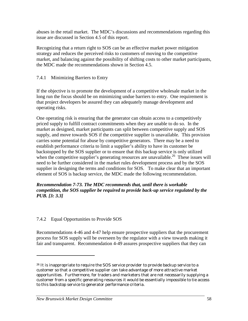abuses in the retail market. The MDC's discussions and recommendations regarding this issue are discussed in Section 4.5 of this report.

Recognizing that a return right to SOS can be an effective market power mitigation strategy and reduces the perceived risks to customers of moving to the competitive market, and balancing against the possibility of shifting costs to other market participants, the MDC made the recommendations shown in Section 4.5.

### 7.4.1 Minimizing Barriers to Entry

If the objective is to promote the development of a competitive wholesale market in the long run the focus should be on minimizing undue barriers to entry. One requirement is that project developers be assured they can adequately manage development and operating risks.

One operating risk is ensuring that the generator can obtain access to a competitively priced supply to fulfill contract commitments when they are unable to do so. In the market as designed, market participants can split between competitive supply and SOS supply, and move towards SOS if the competitive supplier is unavailable. This provision carries some potential for abuse by competitive generators. There may be a need to establish performance criteria to limit a supplier's ability to have its customer be backstopped by the SOS supplier or to ensure that this backup service is only utilized when the competitive supplier's generating resources are unavailable.<sup>26</sup> These issues will need to be further considered in the market rules development process and by the SOS supplier in designing the terms and conditions for SOS. To make clear that an important element of SOS is backup service, the MDC made the following recommendation.

*Recommendation 7-73. The MDC recommends that, until there is workable competition, the SOS supplier be required to provide back-up service regulated by the PUB. [3: 3.3]* 

#### 7.4.2 Equal Opportunities to Provide SOS

Recommendations 4-46 and 4-47 help ensure prospective suppliers that the procurement process for SOS supply will be overseen by the regulator with a view towards making it fair and transparent. Recommendation 4-49 assures prospective suppliers that they can

<sup>&</sup>lt;sup>26</sup> It is inappropriate to require the SOS service provider to provide backup service to a customer so that a competitive supplier can take advantage of more attractive market opportunities. Furthermore, for traders and marketers that are not necessarily supplying a customer from a specific generating resources it would be essentially impossible to tie access to this backstop service to generator performance criteria.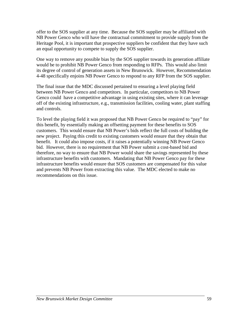offer to the SOS supplier at any time. Because the SOS supplier may be affiliated with NB Power Genco who will have the contractual commitment to provide supply from the Heritage Pool, it is important that prospective suppliers be confident that they have such an equal opportunity to compete to supply the SOS supplier.

One way to remove any possible bias by the SOS supplier towards its generation affiliate would be to prohibit NB Power Genco from responding to RFPs. This would also limit its degree of control of generation assets in New Brunswick. However, Recommendation 4-48 specifically enjoins NB Power Genco to respond to any RFP from the SOS supplier.

The final issue that the MDC discussed pertained to ensuring a level playing field between NB Power Genco and competitors. In particular, competitors to NB Power Genco could have a competitive advantage in using existing sites, where it can leverage off of the existing infrastructure, e.g., transmission facilities, cooling water, plant staffing and controls.

To level the playing field it was proposed that NB Power Genco be required to "pay" for this benefit, by essentially making an offsetting payment for these benefits to SOS customers. This would ensure that NB Power's bids reflect the full costs of building the new project. Paying this credit to existing customers would ensure that they obtain that benefit. It could also impose costs, if it raises a potentially winning NB Power Genco bid. However, there is no requirement that NB Power submit a cost-based bid and therefore, no way to ensure that NB Power would share the savings represented by these infrastructure benefits with customers. Mandating that NB Power Genco pay for these infrastructure benefits would ensure that SOS customers are compensated for this value and prevents NB Power from extracting this value. The MDC elected to make no recommendations on this issue.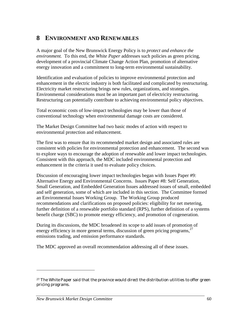# **8 ENVIRONMENT AND RENEWABLES**

A major goal of the New Brunswick Energy Policy is to *protect and enhance the environment.* To this end, the *White Paper* addresses such policies as green pricing, development of a provincial Climate Change Action Plan, promotion of alternative energy innovation and a commitment to long-term environmental sustainability.

Identification and evaluation of policies to improve environmental protection and enhancement in the electric industry is both facilitated and complicated by restructuring. Electricity market restructuring brings new rules, organizations, and strategies. Environmental considerations must be an important part of electricity restructuring. Restructuring can potentially contribute to achieving environmental policy objectives.

Total economic costs of low-impact technologies may be lower than those of conventional technology when environmental damage costs are considered.

The Market Design Committee had two basic modes of action with respect to environmental protection and enhancement.

The first was to ensure that its recommended market design and associated rules are consistent with policies for environmental protection and enhancement. The second was to explore ways to encourage the adoption of renewable and lower impact technologies. Consistent with this approach, the MDC included environmental protection and enhancement in the criteria it used to evaluate policy choices.

Discussion of encouraging lower impact technologies began with Issues Paper #9: Alternative Energy and Environmental Concerns. Issues Paper #8: Self Generation, Small Generation, and Embedded Generation Issues addressed issues of small, embedded and self generation, some of which are included in this section. The Committee formed an Environmental Issues Working Group. The Working Group produced recommendations and clarifications on proposed policies: eligibility for net metering, further definition of a renewable portfolio standard (RPS), further definition of a systems benefit charge (SBC) to promote energy efficiency, and promotion of cogeneration.

During its discussions, the MDC broadened its scope to add issues of promotion of energy efficiency in more general terms, discussion of green pricing programs,  $27$ emissions trading, and emission performance standards.

The MDC approved an overall recommendation addressing all of these issues.

<sup>27</sup> The *White Paper* said that the province would direct the distribution utilities to offer green pricing programs.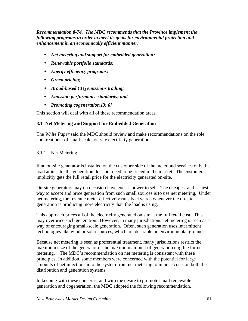*Recommendation 8-74. The MDC recommends that the Province implement the following programs in order to meet its goals for environmental protection and enhancement in an economically efficient manner:* 

- *Net metering and support for embedded generation;*
- *Renewable portfolio standards;*
- *Energy efficiency programs;*
- *Green pricing;*
- *Broad-based CO2 emissions trading;*
- *Emission performance standards; and*
- *Promoting cogeneration.[3: 6]*

This section will deal with all of these recommendation areas.

# **8.1 Net Metering and Support for Embedded Generation**

The *White Paper* said the MDC should review and make recommendations on the role and treatment of small-scale, on-site electricity generation.

8.1.1 Net Metering

If an on-site generator is installed on the customer side of the meter and services only the load at its site, the generation does not need to be priced in the market. The customer implicitly gets the full retail price for the electricity generated on-site.

On-site generators may on occasion have excess power to sell. The cheapest and easiest way to accept and price generation from such small sources is to use net metering. Under net metering, the revenue meter effectively runs backwards whenever the on-site generation is producing more electricity than the load is using.

This approach prices all of the electricity generated on site at the full retail cost. This may overprice such generation. However, in many jurisdictions net metering is seen as a way of encouraging small-scale generation. Often, such generation uses intermittent technologies like wind or solar sources, which are desirable on environmental grounds.

Because net metering is seen as preferential treatment, many jurisdictions restrict the maximum size of the generator or the maximum amount of generation eligible for net metering. The MDC's recommendation on net metering is consistent with these principles. In addition, some members were concerned with the potential for large amounts of net injections into the system from net metering to impose costs on both the distribution and generation systems.

In keeping with these concerns, and with the desire to promote small renewable generation and cogeneration, the MDC adopted the following recommendation.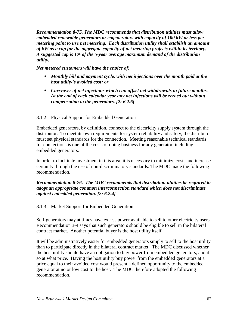*Recommendation 8-75. The MDC recommends that distribution utilities must allow embedded renewable generators or cogenerators with capacity of 100 kW or less per metering point to use net metering. Each distribution utility shall establish an amount of kW as a cap for the aggregate capacity of net metering projects within its territory. A suggested cap is 1% of the 5-year average maximum demand of the distribution utility.* 

*Net metered customers will have the choice of:* 

- *Monthly bill and payment cycle, with net injections over the month paid at the host utility's avoided cost; or*
- *Carryover of net injections which can offset net withdrawals in future months. At the end of each calendar year any net injections will be zeroed out without compensation to the generators. [2: 6.2.6]*

# 8.1.2 Physical Support for Embedded Generation

Embedded generators, by definition, connect to the electricity supply system through the distributor. To meet its own requirements for system reliability and safety, the distributor must set physical standards for the connection. Meeting reasonable technical standards for connections is one of the costs of doing business for any generator, including embedded generators.

In order to facilitate investment in this area, it is necessary to minimize costs and increase certainty through the use of non-discriminatory standards. The MDC made the following recommendation.

# *Recommendation 8-76. The MDC recommends that distribution utilities be required to adopt an appropriate common interconnection standard which does not discriminate against embedded generation. [2: 6.2.4]*

# 8.1.3 Market Support for Embedded Generation

Self-generators may at times have excess power available to sell to other electricity users. Recommendation 3-4 says that such generators should be eligible to sell in the bilateral contract market. Another potential buyer is the host utility itself.

It will be administratively easier for embedded generators simply to sell to the host utility than to participate directly in the bilateral contract market. The MDC discussed whether the host utility should have an obligation to buy power from embedded generators, and if so at what price. Having the host utility buy power from the embedded generators at a price equal to their avoided cost would present a defined opportunity to the embedded generator at no or low cost to the host. The MDC therefore adopted the following recommendation.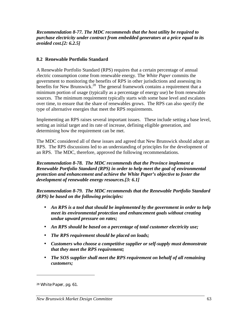*Recommendation 8-77. The MDC recommends that the host utility be required to purchase electricity under contract from embedded generators at a price equal to its avoided cost.[2: 6.2.5]* 

# **8.2 Renewable Portfolio Standard**

A Renewable Portfolio Standard (RPS) requires that a certain percentage of annual electric consumption come from renewable energy. The *White Paper* commits the government to monitoring the benefits of RPS in other jurisdictions and assessing its benefits for New Brunswick.<sup>28</sup> The general framework contains a requirement that a minimum portion of usage (typically as a percentage of energy use) be from renewable sources. The minimum requirement typically starts with some base level and escalates over time, to ensure that the share of renewables grows. The RPS can also specify the type of alternative energies that meet the RPS requirements.

Implementing an RPS raises several important issues. These include setting a base level, setting an initial target and its rate of increase, defining eligible generation, and determining how the requirement can be met.

The MDC considered all of these issues and agreed that New Brunswick should adopt an RPS. The RPS discussions led to an understanding of principles for the development of an RPS. The MDC, therefore, approved the following recommendations.

*Recommendation 8-78. The MDC recommends that the Province implement a Renewable Portfolio Standard (RPS) in order to help meet the goal of environmental protection and enhancement and achieve the White Paper's objective to foster the development of renewable energy resources.[3: 6.1]* 

*Recommendation 8-79. The MDC recommends that the Renewable Portfolio Standard (RPS) be based on the following principles:* 

- *An RPS is a tool that should be implemented by the government in order to help meet its environmental protection and enhancement goals without creating undue upward pressure on rates;*
- *An RPS should be based on a percentage of total customer electricity use;*
- *The RPS requirement should be placed on loads;*
- *Customers who choose a competitive supplier or self-supply must demonstrate that they meet the RPS requirement;*
- *The SOS supplier shall meet the RPS requirement on behalf of all remaining customers;*

<sup>28</sup> *White Paper*, pg. 61.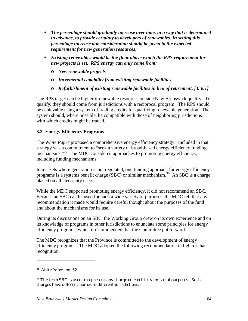- *The percentage should gradually increase over time, in a way that is determined in advance, to provide certainty to developers of renewables. In setting this percentage increase due consideration should be given to the expected requirement for new generation resources;*
- *Existing renewables would be the floor above which the RPS requirement for new projects is set. RPS energy can only come from:* 
	- ο *New renewable projects*
	- ο *Incremental capability from existing renewable facilities*
	- ο *Refurbishment of existing renewable facilities in lieu of retirement. [3: 6.1]*

The RPS target can be higher if renewable resources outside New Brunswick qualify. To qualify, they should come from jurisdictions with a reciprocal program. The RPS should be achievable using a system of trading credits for qualifying renewable generation. The system should, where possible, be compatible with those of neighboring jurisdictions with which credits might be traded.

# **8.3 Energy Efficiency Programs**

The *White Paper* proposed a comprehensive energy efficiency strategy. Included in that strategy was a commitment to "seek a variety of broad-based energy efficiency funding mechanisms."<sup>29</sup> The MDC considered approaches to promoting energy efficiency, including funding mechanisms.

In markets where generation is not regulated, one funding approach for energy efficiency programs is a systems benefit charge (SBC) or similar mechanism.<sup>30</sup> An SBC is a charge placed on all electricity users.

While the MDC supported promoting energy efficiency, it did not recommend an SBC. Because an SBC can be used for such a wide variety of purposes, the MDC felt that any recommendation it made would require careful thought about the purposes of the fund and about the mechanisms for its use.

During its discussions on an SBC, the Working Group drew on its own experience and on its knowledge of programs in other jurisdictions to enunciate some principles for energy efficiency programs, which it recommended that the Committee put forward.

The MDC recognizes that the Province is committed to the development of energy efficiency programs. The MDC adopted the following recommendation in light of that recognition.

<sup>29</sup> *White Paper*, pg. 52.

<sup>&</sup>lt;sup>30</sup> The term SBC is used to represent any charge on electricity for social purposes. Such charges have different names in different jurisdictions.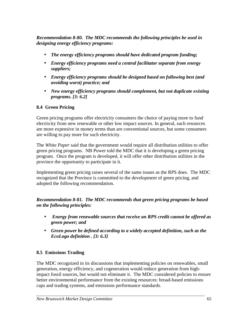*Recommendation 8-80. The MDC recommends the following principles be used in designing energy efficiency programs:* 

- *The energy efficiency programs should have dedicated program funding;*
- *Energy efficiency programs need a central facilitator separate from energy suppliers;*
- *Energy efficiency programs should be designed based on following best (and avoiding worst) practice; and*
- *New energy efficiency programs should complement, but not duplicate existing programs. [3: 6.2]*

# **8.4 Green Pricing**

Green pricing programs offer electricity consumers the choice of paying more to fund electricity from new renewable or other low impact sources. In general, such resources are more expensive in money terms than are conventional sources, but some consumers are willing to pay more for such electricity.

The *White Paper* said that the government would require all distribution utilities to offer green pricing programs. NB Power told the MDC that it is developing a green pricing program. Once the program is developed, it will offer other distribution utilities in the province the opportunity to participate in it.

Implementing green pricing raises several of the same issues as the RPS does. The MDC recognized that the Province is committed to the development of green pricing, and adopted the following recommendation.

*Recommendation 8-81. The MDC recommends that green pricing programs be based on the following principles:* 

- • *Energy from renewable sources that receive an RPS credit cannot be offered as green power; and*
- *Green power be defined according to a widely accepted definition, such as the EcoLogo definition . [3: 6.3]*

# **8.5 Emissions Trading**

The MDC recognized in its discussions that implementing policies on renewables, small generation, energy efficiency, and cogeneration would reduce generation from highimpact fossil sources, but would not eliminate it. The MDC considered policies to ensure better environmental performance from the existing resources: broad-based emissions caps and trading systems, and emissions performance standards.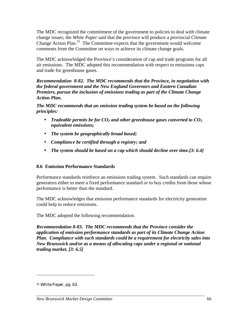The MDC recognized the commitment of the government to policies to deal with climate change issues; the *White Paper* said that the province will produce a provincial Climate Change Action Plan.31 The Committee expects that the government would welcome comments from the Committee on ways to achieve its climate change goals.

The MDC acknowledged the Province's consideration of cap and trade programs for all air emissions.The MDC adopted this recommendation with respect to emissions caps and trade for greenhouse gases.

*Recommendation 8-82. The MDC recommends that the Province, in negotiation with the federal government and the New England Governors and Eastern Canadian Premiers, pursue the inclusion of emissions trading as part of the Climate Change Action Plan.* 

*The MDC recommends that an emission trading system be based on the following principles:* 

- *Tradeable permits be for*  $CO<sub>2</sub>$  *and other greenhouse gases converted to*  $CO<sub>2</sub>$ *equivalent emissions;*
- *The system be geographically broad based;*
- *Compliance be certified through a registry; and*
- *The system should be based on a cap which should decline over time.[3: 6.4]*

# **8.6 Emission Performance Standards**

Performance standards reinforce an emissions trading system. Such standards can require generators either to meet a fixed performance standard or to buy credits from those whose performance is better than the standard.

The MDC acknowledges that emission performance standards for electricity generation could help to reduce emissions.

The MDC adopted the following recommendation.

*Recommendation 8-83. The MDC recommends that the Province consider the application of emission performance standards as part of its Climate Change Action Plan. Compliance with such standards could be a requirement for electricity sales into New Brunswick and/or as a means of allocating caps under a regional or national trading market. [3: 6.5]* 

<sup>31</sup> *White Paper*, pg. 63.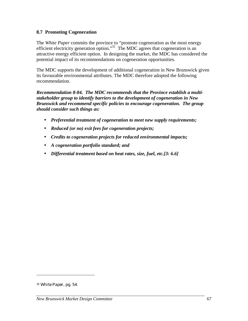## **8.7 Promoting Cogeneration**

The *White Paper* commits the province to "promote cogeneration as the most energy efficient electricity generation option."<sup>32</sup> The MDC agrees that cogeneration is an attractive energy efficient option. In designing the market, the MDC has considered the potential impact of its recommendations on cogeneration opportunities.

The MDC supports the development of additional cogeneration in New Brunswick given its favourable environmental attributes. The MDC therefore adopted the following recommendation.

*Recommendation 8-84. The MDC recommends that the Province establish a multistakeholder group to identify barriers to the development of cogeneration in New Brunswick and recommend specific policies to encourage cogeneration. The group should consider such things as:* 

- *Preferential treatment of cogeneration to meet new supply requirements;*
- *Reduced (or no) exit fees for cogeneration projects;*
- *Credits to cogeneration projects for reduced environmental impacts;*
- *A cogeneration portfolio standard; and*
- *Differential treatment based on heat rates, size, fuel, etc.[3: 6.6]*

<sup>32</sup> *White Paper*, pg. 54.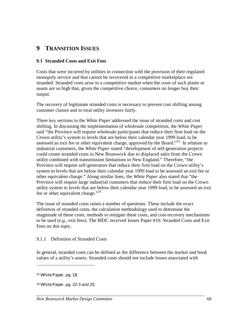# **9 TRANSITION ISSUES**

## **9.1 Stranded Costs and Exit Fees**

Costs that were incurred by utilities in connection with the provision of their regulated monopoly service and that cannot be recovered in a competitive marketplace are stranded. Stranded costs arise in a competitive market when the costs of such plants or assets are so high that, given the competitive choice, consumers no longer buy their output.

The recovery of legitimate stranded costs is necessary to prevent cost shifting among customer classes and to treat utility investors fairly.

Three key sections in the *White Paper* addressed the issue of stranded costs and cost shifting. In discussing the implementation of wholesale competition, the *White Paper* said "the Province will require wholesale participants that reduce their firm load on the Crown utility's system to levels that are below their calendar year 1999 load, to be assessed an exit fee or other equivalent charge, approved by the Board."<sup>33</sup> In relation to industrial customers, the *White Paper* stated "development of self-generation projects could create stranded costs in New Brunswick due to displaced sales from the Crown utility combined with transmission limitations to New England." Therefore, "the Province will require self-generators that reduce their firm load on the Crown utility's system to levels that are below their calendar year 1999 load to be assessed an exit fee or other equivalent charge." Along similar lines, the *White Paper* also stated that "the Province will require large industrial customers that reduce their firm load on the Crown utility system to levels that are below their calendar year 1999 load, to be assessed an exit fee or other equivalent charge."<sup>34</sup>

The issue of stranded costs raises a number of questions. These include the exact definition of stranded costs, the calculation methodology used to determine the magnitude of these costs, methods to mitigate these costs, and cost-recovery mechanisms to be used (*e.g.*, exit fees). The MDC received Issues Paper #10: Stranded Costs and Exit Fees on this topic.

#### 9.1.1 Definition of Stranded Costs

In general, stranded costs can be defined as the difference between the market and book values of a utility's assets. Stranded costs should not include losses associated with

<sup>33</sup> *White Paper*, pg. 18.

<sup>34</sup> *White Paper*, pg*.* 22-3 and 25.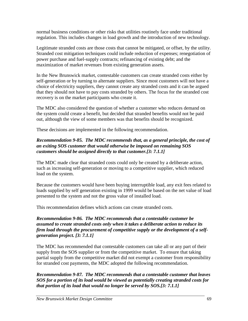normal business conditions or other risks that utilities routinely face under traditional regulation. This includes changes in load growth and the introduction of new technology.

Legitimate stranded costs are those costs that cannot be mitigated, or offset, by the utility. Stranded cost mitigation techniques could include reduction of expenses; renegotiation of power purchase and fuel-supply contracts; refinancing of existing debt; and the maximization of market revenues from existing generation assets.

In the New Brunswick market, contestable customers can create stranded costs either by self-generation or by turning to alternate suppliers. Since most customers will not have a choice of electricity suppliers, they cannot create any stranded costs and it can be argued that they should not have to pay costs stranded by others. The focus for the stranded cost recovery is on the market participants who create it.

The MDC also considered the question of whether a customer who reduces demand on the system could create a benefit, but decided that stranded benefits would not be paid out, although the view of some members was that benefits should be recognized.

These decisions are implemented in the following recommendation.

# *Recommendation 9-85. The MDC recommends that, as a general principle, the cost of an exiting SOS customer that would otherwise be imposed on remaining SOS customers should be assigned directly to that customer.[3: 7.1.1]*

The MDC made clear that stranded costs could only be created by a deliberate action, such as increasing self-generation or moving to a competitive supplier, which reduced load on the system.

Because the customers would have been buying interruptible load, any exit fees related to loads supplied by self generation existing in 1999 would be based on the net value of load presented to the system and not the gross value of installed load.

This recommendation defines which actions can create stranded costs.

# *Recommendation 9-86. The MDC recommends that a contestable customer be assumed to create stranded costs only when it takes a deliberate action to reduce its firm load through the procurement of competitive supply or the development of a selfgeneration project. [3: 7.1.1]*

The MDC has recommended that contestable customers can take all or any part of their supply from the SOS supplier or from the competitive market. To ensure that taking partial supply from the competitive market did not exempt a customer from responsibility for stranded cost payments, the MDC adopted the following recommendation.

*Recommendation 9-87. The MDC recommends that a contestable customer that leaves SOS for a portion of its load would be viewed as potentially creating stranded costs for that portion of its load that would no longer be served by SOS.[3: 7.1.1]*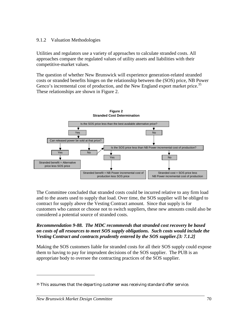#### 9.1.2 Valuation Methodologies

Utilities and regulators use a variety of approaches to calculate stranded costs. All approaches compare the regulated values of utility assets and liabilities with their competitive-market values.

The question of whether New Brunswick will experience generation-related stranded costs or stranded benefits hinges on the relationship between the (SOS) price, NB Power Genco's incremental cost of production, and the New England export market price.<sup>35</sup> These relationships are shown in Figure 2.



The Committee concluded that stranded costs could be incurred relative to any firm load and to the assets used to supply that load. Over time, the SOS supplier will be obliged to contract for supply above the Vesting Contract amount. Since that supply is for customers who cannot or choose not to switch suppliers, these new amounts could also be considered a potential source of stranded costs.

#### *Recommendation 9-88. The MDC recommends that stranded cost recovery be based on costs of all resources to meet SOS supply obligations. Such costs would include the Vesting Contract and contracts prudently entered by the SOS supplier.[3: 7.1.2]*

Making the SOS customers liable for stranded costs for all their SOS supply could expose them to having to pay for imprudent decisions of the SOS supplier. The PUB is an appropriate body to oversee the contracting practices of the SOS supplier.

<sup>35</sup> This assumes that the departing customer was receiving standard offer service.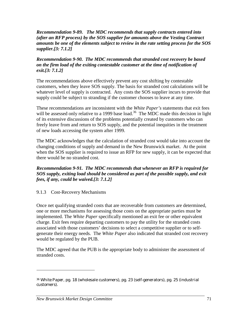*Recommendation 9-89. The MDC recommends that supply contracts entered into (after an RFP process) by the SOS supplier for amounts above the Vesting Contract amounts be one of the elements subject to review in the rate setting process for the SOS supplier.[3: 7.1.2]* 

*Recommendation 9-90. The MDC recommends that stranded cost recovery be based on the firm load of the exiting contestable customer at the time of notification of exit.[3: 7.1.2]* 

The recommendations above effectively prevent any cost shifting by contestable customers, when they leave SOS supply. The basis for stranded cost calculations will be whatever level of supply is contracted. Any costs the SOS supplier incurs to provide that supply could be subject to stranding if the customer chooses to leave at any time.

These recommendations are inconsistent with the *White Paper's* statements that exit fees will be assessed only relative to a 1999 base load.<sup>36</sup> The MDC made this decision in light of its extensive discussions of the problems potentially created by customers who can freely leave from and return to SOS supply, and the potential inequities in the treatment of new loads accessing the system after 1999.

The MDC acknowledges that the calculation of stranded cost would take into account the changing conditions of supply and demand in the New Brunswick market. At the point when the SOS supplier is required to issue an RFP for new supply, it can be expected that there would be no stranded cost.

*Recommendation 9-91. The MDC recommends that whenever an RFP is required for SOS supply, exiting load should be considered as part of the possible supply, and exit fees, if any, could be waived.[3: 7.1.2]* 

#### 9.1.3 Cost-Recovery Mechanisms

Once net qualifying stranded costs that are recoverable from customers are determined, one or more mechanisms for assessing those costs on the appropriate parties must be implemented. The *White Paper* specifically mentioned an exit fee or other equivalent charge. Exit fees require departing customers to pay the utility for the stranded costs associated with those customers' decisions to select a competitive supplier or to selfgenerate their energy needs. The *White Paper* also indicated that stranded cost recovery would be regulated by the PUB.

The MDC agreed that the PUB is the appropriate body to administer the assessment of stranded costs.

<sup>36</sup> *White Paper*, pg. 18 (wholesale customers), pg. 23 (self-generators), pg. 25 (industrial customers).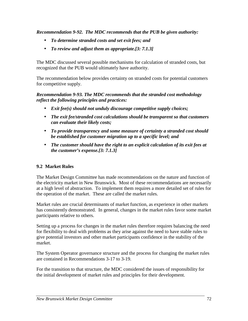*Recommendation 9-92. The MDC recommends that the PUB be given authority:* 

- *To determine stranded costs and set exit fees; and*
- *To review and adjust them as appropriate.[3: 7.1.3]*

The MDC discussed several possible mechanisms for calculation of stranded costs, but recognized that the PUB would ultimately have authority.

The recommendation below provides certainty on stranded costs for potential customers for competitive supply.

*Recommendation 9-93. The MDC recommends that the stranded cost methodology reflect the following principles and practices:* 

- *Exit fee(s) should not unduly discourage competitive supply choices;*
- *The exit fee/stranded cost calculations should be transparent so that customers can evaluate their likely costs;*
- *To provide transparency and some measure of certainty a stranded cost should be established for customer migration up to a specific level; and*
- *The customer should have the right to an explicit calculation of its exit fees at the customer's expense.[3: 7.1.3]*

# **9.2 Market Rules**

The Market Design Committee has made recommendations on the nature and function of the electricity market in New Brunswick. Most of these recommendations are necessarily at a high level of abstraction. To implement them requires a more detailed set of rules for the operation of the market. These are called the market rules.

Market rules are crucial determinants of market function, as experience in other markets has consistently demonstrated. In general, changes in the market rules favor some market participants relative to others.

Setting up a process for changes in the market rules therefore requires balancing the need for flexibility to deal with problems as they arise against the need to have stable rules to give potential investors and other market participants confidence in the stability of the market.

The System Operator governance structure and the process for changing the market rules are contained in Recommendations 3-17 to 3-19.

For the transition to that structure, the MDC considered the issues of responsibility for the initial development of market rules and principles for their development.